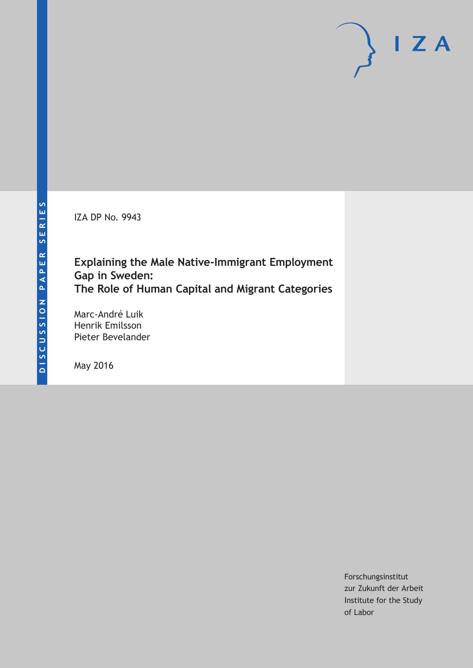IZA DP No. 9943

# **Explaining the Male Native-Immigrant Employment Gap in Sweden: The Role of Human Capital and Migrant Categories**

Marc-André Luik Henrik Emilsson Pieter Bevelander

May 2016

Forschungsinstitut zur Zukunft der Arbeit Institute for the Study of Labor

 $I Z A$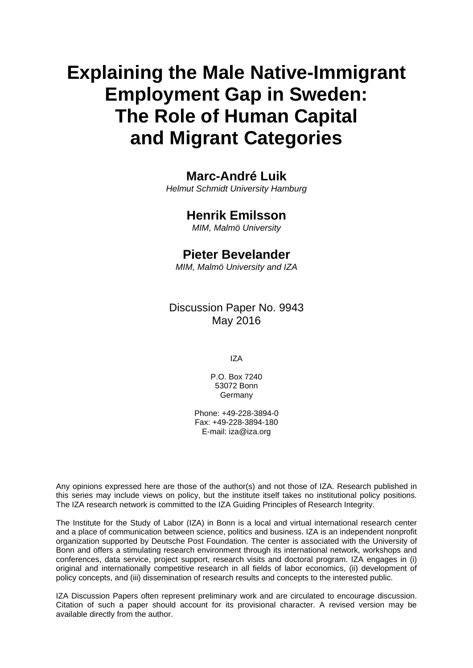# **Explaining the Male Native-Immigrant Employment Gap in Sweden: The Role of Human Capital and Migrant Categories**

# **Marc-André Luik**

*Helmut Schmidt University Hamburg* 

## **Henrik Emilsson**

*MIM, Malmö University*

### **Pieter Bevelander**

*MIM, Malmö University and IZA* 

Discussion Paper No. 9943 May 2016

IZA

P.O. Box 7240 53072 Bonn **Germany** 

Phone: +49-228-3894-0 Fax: +49-228-3894-180 E-mail: iza@iza.org

Any opinions expressed here are those of the author(s) and not those of IZA. Research published in this series may include views on policy, but the institute itself takes no institutional policy positions. The IZA research network is committed to the IZA Guiding Principles of Research Integrity.

The Institute for the Study of Labor (IZA) in Bonn is a local and virtual international research center and a place of communication between science, politics and business. IZA is an independent nonprofit organization supported by Deutsche Post Foundation. The center is associated with the University of Bonn and offers a stimulating research environment through its international network, workshops and conferences, data service, project support, research visits and doctoral program. IZA engages in (i) original and internationally competitive research in all fields of labor economics, (ii) development of policy concepts, and (iii) dissemination of research results and concepts to the interested public.

IZA Discussion Papers often represent preliminary work and are circulated to encourage discussion. Citation of such a paper should account for its provisional character. A revised version may be available directly from the author.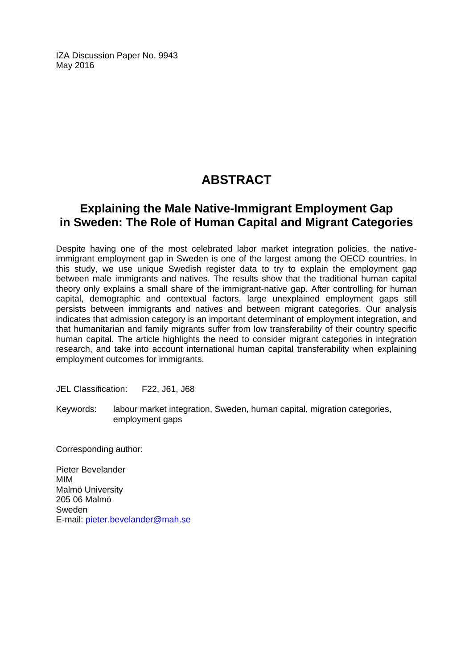IZA Discussion Paper No. 9943 May 2016

# **ABSTRACT**

# **Explaining the Male Native-Immigrant Employment Gap in Sweden: The Role of Human Capital and Migrant Categories**

Despite having one of the most celebrated labor market integration policies, the nativeimmigrant employment gap in Sweden is one of the largest among the OECD countries. In this study, we use unique Swedish register data to try to explain the employment gap between male immigrants and natives. The results show that the traditional human capital theory only explains a small share of the immigrant-native gap. After controlling for human capital, demographic and contextual factors, large unexplained employment gaps still persists between immigrants and natives and between migrant categories. Our analysis indicates that admission category is an important determinant of employment integration, and that humanitarian and family migrants suffer from low transferability of their country specific human capital. The article highlights the need to consider migrant categories in integration research, and take into account international human capital transferability when explaining employment outcomes for immigrants.

JEL Classification: F22, J61, J68

Keywords: labour market integration, Sweden, human capital, migration categories, employment gaps

Corresponding author:

Pieter Bevelander MIM Malmö University 205 06 Malmö Sweden E-mail: pieter.bevelander@mah.se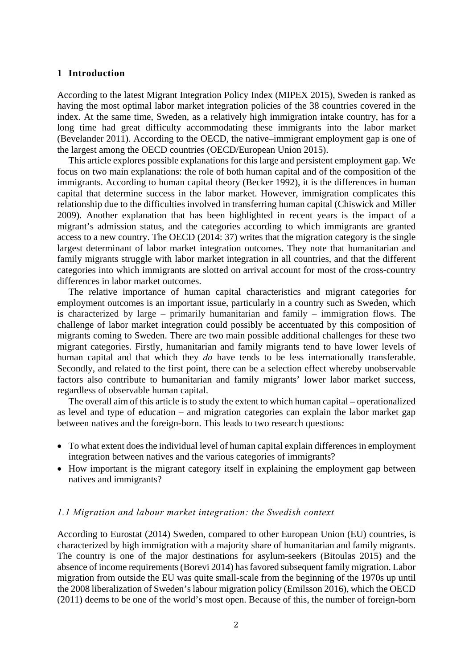#### **1 Introduction**

According to the latest Migrant Integration Policy Index (MIPEX 2015), Sweden is ranked as having the most optimal labor market integration policies of the 38 countries covered in the index. At the same time, Sweden, as a relatively high immigration intake country, has for a long time had great difficulty accommodating these immigrants into the labor market (Bevelander 2011). According to the OECD, the native–immigrant employment gap is one of the largest among the OECD countries (OECD/European Union 2015).

This article explores possible explanations for this large and persistent employment gap. We focus on two main explanations: the role of both human capital and of the composition of the immigrants. According to human capital theory (Becker 1992), it is the differences in human capital that determine success in the labor market. However, immigration complicates this relationship due to the difficulties involved in transferring human capital (Chiswick and Miller 2009). Another explanation that has been highlighted in recent years is the impact of a migrant's admission status, and the categories according to which immigrants are granted access to a new country. The OECD (2014: 37) writes that the migration category is the single largest determinant of labor market integration outcomes. They note that humanitarian and family migrants struggle with labor market integration in all countries, and that the different categories into which immigrants are slotted on arrival account for most of the cross-country differences in labor market outcomes.

The relative importance of human capital characteristics and migrant categories for employment outcomes is an important issue, particularly in a country such as Sweden, which is characterized by large – primarily humanitarian and family – immigration flows. The challenge of labor market integration could possibly be accentuated by this composition of migrants coming to Sweden. There are two main possible additional challenges for these two migrant categories. Firstly, humanitarian and family migrants tend to have lower levels of human capital and that which they *do* have tends to be less internationally transferable. Secondly, and related to the first point, there can be a selection effect whereby unobservable factors also contribute to humanitarian and family migrants' lower labor market success, regardless of observable human capital.

The overall aim of this article is to study the extent to which human capital – operationalized as level and type of education – and migration categories can explain the labor market gap between natives and the foreign-born. This leads to two research questions:

- To what extent does the individual level of human capital explain differences in employment integration between natives and the various categories of immigrants?
- How important is the migrant category itself in explaining the employment gap between natives and immigrants?

#### *1.1 Migration and labour market integration: the Swedish context*

According to Eurostat (2014) Sweden, compared to other European Union (EU) countries, is characterized by high immigration with a majority share of humanitarian and family migrants. The country is one of the major destinations for asylum-seekers (Bitoulas 2015) and the absence of income requirements (Borevi 2014) has favored subsequent family migration. Labor migration from outside the EU was quite small-scale from the beginning of the 1970s up until the 2008 liberalization of Sweden's labour migration policy (Emilsson 2016), which the OECD (2011) deems to be one of the world's most open. Because of this, the number of foreign-born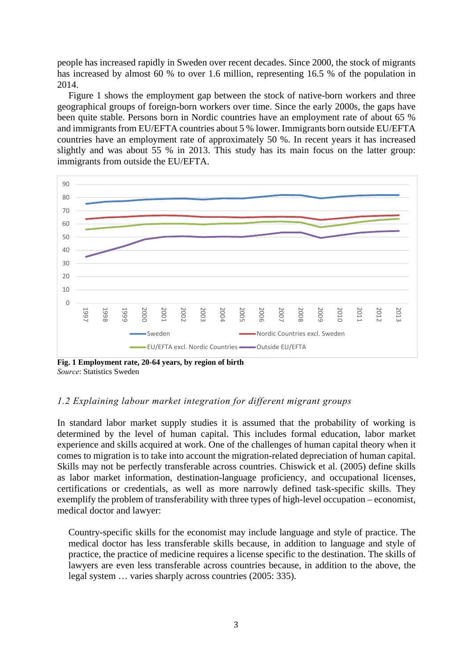people has increased rapidly in Sweden over recent decades. Since 2000, the stock of migrants has increased by almost 60 % to over 1.6 million, representing 16.5 % of the population in 2014.

Figure 1 shows the employment gap between the stock of native-born workers and three geographical groups of foreign-born workers over time. Since the early 2000s, the gaps have been quite stable. Persons born in Nordic countries have an employment rate of about 65 % and immigrants from EU/EFTA countries about 5 % lower. Immigrants born outside EU/EFTA countries have an employment rate of approximately 50 %. In recent years it has increased slightly and was about 55 % in 2013. This study has its main focus on the latter group: immigrants from outside the EU/EFTA.



**Fig. 1 Employment rate, 20-64 years, by region of birth**  *Source*: Statistics Sweden

#### *1.2 Explaining labour market integration for different migrant groups*

In standard labor market supply studies it is assumed that the probability of working is determined by the level of human capital. This includes formal education, labor market experience and skills acquired at work. One of the challenges of human capital theory when it comes to migration is to take into account the migration-related depreciation of human capital. Skills may not be perfectly transferable across countries. Chiswick et al. (2005) define skills as labor market information, destination-language proficiency, and occupational licenses, certifications or credentials, as well as more narrowly defined task-specific skills. They exemplify the problem of transferability with three types of high-level occupation – economist, medical doctor and lawyer:

Country-specific skills for the economist may include language and style of practice. The medical doctor has less transferable skills because, in addition to language and style of practice, the practice of medicine requires a license specific to the destination. The skills of lawyers are even less transferable across countries because, in addition to the above, the legal system … varies sharply across countries (2005: 335).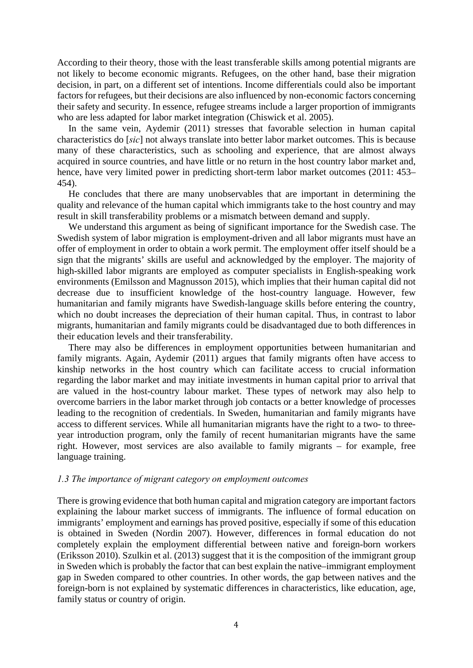According to their theory, those with the least transferable skills among potential migrants are not likely to become economic migrants. Refugees, on the other hand, base their migration decision, in part, on a different set of intentions. Income differentials could also be important factors for refugees, but their decisions are also influenced by non-economic factors concerning their safety and security. In essence, refugee streams include a larger proportion of immigrants who are less adapted for labor market integration (Chiswick et al. 2005).

In the same vein, Aydemir (2011) stresses that favorable selection in human capital characteristics do [*sic*] not always translate into better labor market outcomes. This is because many of these characteristics, such as schooling and experience, that are almost always acquired in source countries, and have little or no return in the host country labor market and, hence, have very limited power in predicting short-term labor market outcomes (2011: 453– 454).

He concludes that there are many unobservables that are important in determining the quality and relevance of the human capital which immigrants take to the host country and may result in skill transferability problems or a mismatch between demand and supply.

We understand this argument as being of significant importance for the Swedish case. The Swedish system of labor migration is employment-driven and all labor migrants must have an offer of employment in order to obtain a work permit. The employment offer itself should be a sign that the migrants' skills are useful and acknowledged by the employer. The majority of high-skilled labor migrants are employed as computer specialists in English-speaking work environments (Emilsson and Magnusson 2015), which implies that their human capital did not decrease due to insufficient knowledge of the host-country language. However, few humanitarian and family migrants have Swedish-language skills before entering the country, which no doubt increases the depreciation of their human capital. Thus, in contrast to labor migrants, humanitarian and family migrants could be disadvantaged due to both differences in their education levels and their transferability.

There may also be differences in employment opportunities between humanitarian and family migrants. Again, Aydemir (2011) argues that family migrants often have access to kinship networks in the host country which can facilitate access to crucial information regarding the labor market and may initiate investments in human capital prior to arrival that are valued in the host-country labour market. These types of network may also help to overcome barriers in the labor market through job contacts or a better knowledge of processes leading to the recognition of credentials. In Sweden, humanitarian and family migrants have access to different services. While all humanitarian migrants have the right to a two- to threeyear introduction program, only the family of recent humanitarian migrants have the same right. However, most services are also available to family migrants – for example, free language training.

#### *1.3 The importance of migrant category on employment outcomes*

There is growing evidence that both human capital and migration category are important factors explaining the labour market success of immigrants. The influence of formal education on immigrants' employment and earnings has proved positive, especially if some of this education is obtained in Sweden (Nordin 2007). However, differences in formal education do not completely explain the employment differential between native and foreign-born workers (Eriksson 2010). Szulkin et al. (2013) suggest that it is the composition of the immigrant group in Sweden which is probably the factor that can best explain the native–immigrant employment gap in Sweden compared to other countries. In other words, the gap between natives and the foreign-born is not explained by systematic differences in characteristics, like education, age, family status or country of origin.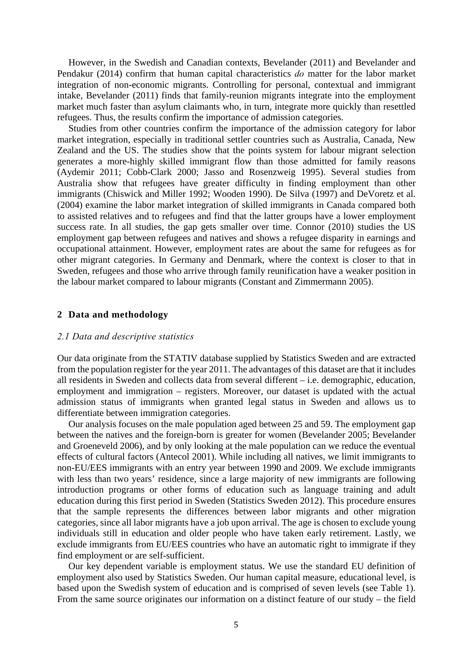However, in the Swedish and Canadian contexts, Bevelander (2011) and Bevelander and Pendakur (2014) confirm that human capital characteristics *do* matter for the labor market integration of non-economic migrants. Controlling for personal, contextual and immigrant intake, Bevelander (2011) finds that family-reunion migrants integrate into the employment market much faster than asylum claimants who, in turn, integrate more quickly than resettled refugees. Thus, the results confirm the importance of admission categories.

Studies from other countries confirm the importance of the admission category for labor market integration, especially in traditional settler countries such as Australia, Canada, New Zealand and the US. The studies show that the points system for labour migrant selection generates a more-highly skilled immigrant flow than those admitted for family reasons (Aydemir 2011; Cobb-Clark 2000; Jasso and Rosenzweig 1995). Several studies from Australia show that refugees have greater difficulty in finding employment than other immigrants (Chiswick and Miller 1992; Wooden 1990). De Silva (1997) and DeVoretz et al. (2004) examine the labor market integration of skilled immigrants in Canada compared both to assisted relatives and to refugees and find that the latter groups have a lower employment success rate. In all studies, the gap gets smaller over time. Connor (2010) studies the US employment gap between refugees and natives and shows a refugee disparity in earnings and occupational attainment. However, employment rates are about the same for refugees as for other migrant categories. In Germany and Denmark, where the context is closer to that in Sweden, refugees and those who arrive through family reunification have a weaker position in the labour market compared to labour migrants (Constant and Zimmermann 2005).

#### **2 Data and methodology**

#### *2.1 Data and descriptive statistics*

Our data originate from the STATIV database supplied by Statistics Sweden and are extracted from the population register for the year 2011. The advantages of this dataset are that it includes all residents in Sweden and collects data from several different – i.e. demographic, education, employment and immigration – registers. Moreover, our dataset is updated with the actual admission status of immigrants when granted legal status in Sweden and allows us to differentiate between immigration categories.

Our analysis focuses on the male population aged between 25 and 59. The employment gap between the natives and the foreign-born is greater for women (Bevelander 2005; Bevelander and Groeneveld 2006), and by only looking at the male population can we reduce the eventual effects of cultural factors (Antecol 2001). While including all natives, we limit immigrants to non-EU/EES immigrants with an entry year between 1990 and 2009. We exclude immigrants with less than two years' residence, since a large majority of new immigrants are following introduction programs or other forms of education such as language training and adult education during this first period in Sweden (Statistics Sweden 2012). This procedure ensures that the sample represents the differences between labor migrants and other migration categories, since all labor migrants have a job upon arrival. The age is chosen to exclude young individuals still in education and older people who have taken early retirement. Lastly, we exclude immigrants from EU/EES countries who have an automatic right to immigrate if they find employment or are self-sufficient.

Our key dependent variable is employment status. We use the standard EU definition of employment also used by Statistics Sweden. Our human capital measure, educational level, is based upon the Swedish system of education and is comprised of seven levels (see Table 1). From the same source originates our information on a distinct feature of our study – the field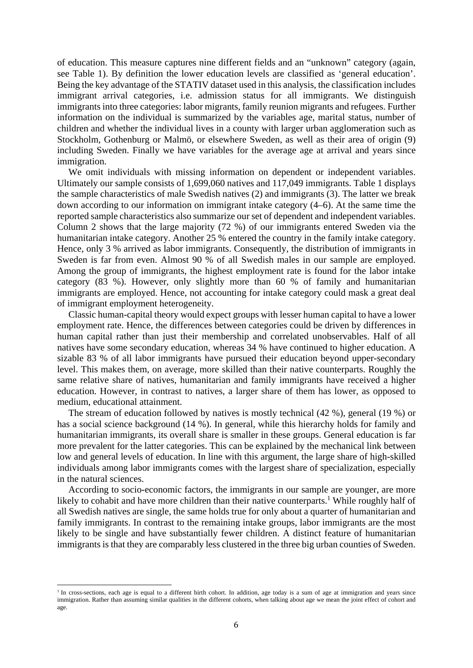of education. This measure captures nine different fields and an "unknown" category (again, see Table 1). By definition the lower education levels are classified as 'general education'. Being the key advantage of the STATIV dataset used in this analysis, the classification includes immigrant arrival categories, i.e. admission status for all immigrants. We distinguish immigrants into three categories: labor migrants, family reunion migrants and refugees. Further information on the individual is summarized by the variables age, marital status, number of children and whether the individual lives in a county with larger urban agglomeration such as Stockholm, Gothenburg or Malmö, or elsewhere Sweden, as well as their area of origin (9) including Sweden. Finally we have variables for the average age at arrival and years since immigration.

We omit individuals with missing information on dependent or independent variables. Ultimately our sample consists of 1,699,060 natives and 117,049 immigrants. Table 1 displays the sample characteristics of male Swedish natives (2) and immigrants (3). The latter we break down according to our information on immigrant intake category (4–6). At the same time the reported sample characteristics also summarize our set of dependent and independent variables. Column 2 shows that the large majority (72 %) of our immigrants entered Sweden via the humanitarian intake category. Another 25 % entered the country in the family intake category. Hence, only 3 % arrived as labor immigrants. Consequently, the distribution of immigrants in Sweden is far from even. Almost 90 % of all Swedish males in our sample are employed. Among the group of immigrants, the highest employment rate is found for the labor intake category (83 %). However, only slightly more than 60 % of family and humanitarian immigrants are employed. Hence, not accounting for intake category could mask a great deal of immigrant employment heterogeneity.

Classic human-capital theory would expect groups with lesser human capital to have a lower employment rate. Hence, the differences between categories could be driven by differences in human capital rather than just their membership and correlated unobservables. Half of all natives have some secondary education, whereas 34 % have continued to higher education. A sizable 83 % of all labor immigrants have pursued their education beyond upper-secondary level. This makes them, on average, more skilled than their native counterparts. Roughly the same relative share of natives, humanitarian and family immigrants have received a higher education. However, in contrast to natives, a larger share of them has lower, as opposed to medium, educational attainment.

The stream of education followed by natives is mostly technical (42 %), general (19 %) or has a social science background (14 %). In general, while this hierarchy holds for family and humanitarian immigrants, its overall share is smaller in these groups. General education is far more prevalent for the latter categories. This can be explained by the mechanical link between low and general levels of education. In line with this argument, the large share of high-skilled individuals among labor immigrants comes with the largest share of specialization, especially in the natural sciences.

According to socio-economic factors, the immigrants in our sample are younger, are more likely to cohabit and have more children than their native counterparts.<sup>1</sup> While roughly half of all Swedish natives are single, the same holds true for only about a quarter of humanitarian and family immigrants. In contrast to the remaining intake groups, labor immigrants are the most likely to be single and have substantially fewer children. A distinct feature of humanitarian immigrants is that they are comparably less clustered in the three big urban counties of Sweden.

 

<sup>&</sup>lt;sup>1</sup> In cross-sections, each age is equal to a different birth cohort. In addition, age today is a sum of age at immigration and years since immigration. Rather than assuming similar qualities in the different cohorts, when talking about age we mean the joint effect of cohort and age.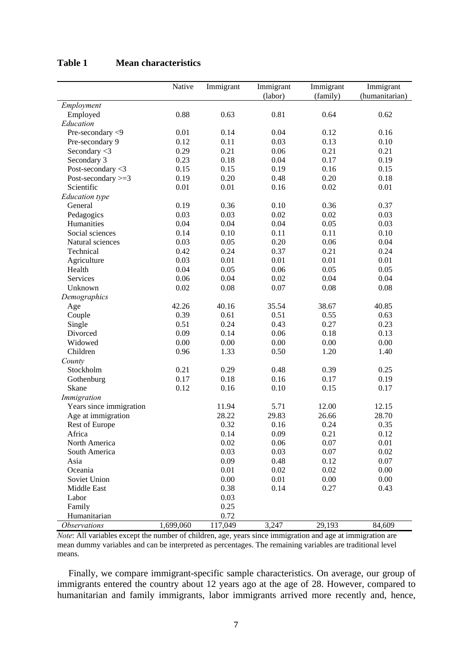|                            | Native    | Immigrant | Immigrant | Immigrant | Immigrant      |
|----------------------------|-----------|-----------|-----------|-----------|----------------|
|                            |           |           | (labor)   | (family)  | (humanitarian) |
| Employment                 |           |           |           |           |                |
| Employed                   | 0.88      | 0.63      | 0.81      | 0.64      | 0.62           |
| Education                  |           |           |           |           | 0.16           |
| Pre-secondary <9           | 0.01      | 0.14      | 0.04      | 0.12      |                |
| Pre-secondary 9            | 0.12      | 0.11      | 0.03      | 0.13      | 0.10           |
| Secondary $<$ 3            | 0.29      | 0.21      | 0.06      | 0.21      | 0.21           |
| Secondary 3                | 0.23      | 0.18      | 0.04      | 0.17      | 0.19           |
| Post-secondary <3          | 0.15      | 0.15      | 0.19      | 0.16      | 0.15           |
| Post-secondary $>=$ 3      | 0.19      | 0.20      | 0.48      | 0.20      | 0.18           |
| Scientific                 | 0.01      | 0.01      | 0.16      | 0.02      | 0.01           |
| <b>Education</b> type      |           |           |           |           |                |
| General                    | 0.19      | 0.36      | 0.10      | 0.36      | 0.37           |
| Pedagogics                 | 0.03      | 0.03      | 0.02      | 0.02      | 0.03           |
| Humanities                 | 0.04      | 0.04      | 0.04      | 0.05      | 0.03           |
| Social sciences            | 0.14      | 0.10      | 0.11      | 0.11      | 0.10           |
| Natural sciences           | 0.03      | 0.05      | 0.20      | 0.06      | 0.04           |
| Technical                  | 0.42      | 0.24      | 0.37      | 0.21      | 0.24           |
| Agriculture                | 0.03      | 0.01      | 0.01      | 0.01      | 0.01           |
| Health                     | 0.04      | 0.05      | 0.06      | 0.05      | 0.05           |
| Services                   | 0.06      | 0.04      | 0.02      | 0.04      | 0.04           |
| Unknown                    | 0.02      | 0.08      | 0.07      | 0.08      | 0.08           |
| Demographics               |           |           |           |           |                |
| Age                        | 42.26     | 40.16     | 35.54     | 38.67     | 40.85          |
| Couple                     | 0.39      | 0.61      | 0.51      | 0.55      | 0.63           |
| Single                     | 0.51      | 0.24      | 0.43      | 0.27      | 0.23           |
| Divorced                   | 0.09      | 0.14      | 0.06      | 0.18      | 0.13           |
| Widowed                    | 0.00      | 0.00      | 0.00      | 0.00      | 0.00           |
| Children                   | 0.96      | 1.33      | 0.50      | 1.20      | 1.40           |
| County                     |           |           |           |           |                |
| Stockholm                  | 0.21      | 0.29      | 0.48      | 0.39      | 0.25           |
| Gothenburg                 | 0.17      | 0.18      | 0.16      | 0.17      | 0.19           |
| Skane                      | 0.12      | 0.16      | 0.10      | 0.15      | 0.17           |
| Immigration                |           |           |           |           |                |
| Years since immigration    |           | 11.94     | 5.71      | 12.00     | 12.15          |
| Age at immigration         |           | 28.22     | 29.83     | 26.66     | 28.70          |
| <b>Rest of Europe</b>      |           | 0.32      | 0.16      | 0.24      | 0.35           |
| Africa                     |           | 0.14      | 0.09      | 0.21      | 0.12           |
| North America              |           | 0.02      | 0.06      | 0.07      | 0.01           |
| South America              |           | 0.03      | 0.03      | 0.07      | 0.02           |
| Asia                       |           | 0.09      | 0.48      | 0.12      | 0.07           |
| Oceania                    |           | 0.01      | 0.02      | 0.02      | 0.00           |
| Soviet Union               |           | 0.00      | 0.01      | 0.00      | 0.00           |
| Middle East                |           | 0.38      | 0.14      | 0.27      | 0.43           |
| Labor                      |           | 0.03      |           |           |                |
| Family                     |           | 0.25      |           |           |                |
| Humanitarian               |           | 0.72      |           |           |                |
| <i><b>Observations</b></i> | 1,699,060 | 117,049   | 3,247     | 29,193    | 84,609         |

#### **Table 1 Mean characteristics**

*Note*: All variables except the number of children, age, years since immigration and age at immigration are mean dummy variables and can be interpreted as percentages. The remaining variables are traditional level means.

Finally, we compare immigrant-specific sample characteristics. On average, our group of immigrants entered the country about 12 years ago at the age of 28. However, compared to humanitarian and family immigrants, labor immigrants arrived more recently and, hence,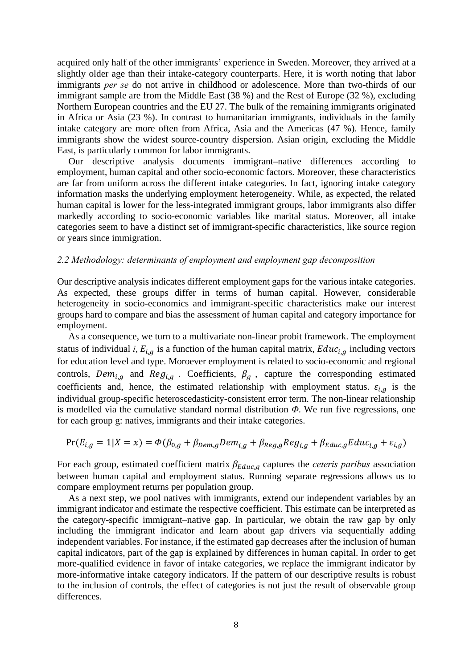acquired only half of the other immigrants' experience in Sweden. Moreover, they arrived at a slightly older age than their intake-category counterparts. Here, it is worth noting that labor immigrants *per se* do not arrive in childhood or adolescence. More than two-thirds of our immigrant sample are from the Middle East (38 %) and the Rest of Europe (32 %), excluding Northern European countries and the EU 27. The bulk of the remaining immigrants originated in Africa or Asia (23 %). In contrast to humanitarian immigrants, individuals in the family intake category are more often from Africa, Asia and the Americas (47 %). Hence, family immigrants show the widest source-country dispersion. Asian origin, excluding the Middle East, is particularly common for labor immigrants.

Our descriptive analysis documents immigrant–native differences according to employment, human capital and other socio-economic factors. Moreover, these characteristics are far from uniform across the different intake categories. In fact, ignoring intake category information masks the underlying employment heterogeneity. While, as expected, the related human capital is lower for the less-integrated immigrant groups, labor immigrants also differ markedly according to socio-economic variables like marital status. Moreover, all intake categories seem to have a distinct set of immigrant-specific characteristics, like source region or years since immigration.

#### *2.2 Methodology: determinants of employment and employment gap decomposition*

Our descriptive analysis indicates different employment gaps for the various intake categories. As expected, these groups differ in terms of human capital. However, considerable heterogeneity in socio-economics and immigrant-specific characteristics make our interest groups hard to compare and bias the assessment of human capital and category importance for employment.

As a consequence, we turn to a multivariate non-linear probit framework. The employment status of individual *i*,  $E_{i,g}$  is a function of the human capital matrix,  $Educ_{i,g}$  including vectors for education level and type. Moroever employment is related to socio-economic and regional controls,  $Dem_{i,q}$  and  $Reg_{i,q}$ . Coefficients,  $\beta_g$ , capture the corresponding estimated coefficients and, hence, the estimated relationship with employment status.  $\varepsilon_{i,q}$  is the individual group-specific heteroscedasticity-consistent error term. The non-linear relationship is modelled via the cumulative standard normal distribution *Φ*. We run five regressions, one for each group g: natives, immigrants and their intake categories.

$$
Pr(E_{i,g} = 1 | X = x) = \Phi(\beta_{0,g} + \beta_{Dem,g} Dem_{i,g} + \beta_{Reg,g} Reg_{i,g} + \beta_{Educ,g} Educ_{i,g} + \varepsilon_{i,g})
$$

For each group, estimated coefficient matrix  $\beta_{Educ, g}$  captures the *ceteris paribus* association between human capital and employment status. Running separate regressions allows us to compare employment returns per population group.

As a next step, we pool natives with immigrants, extend our independent variables by an immigrant indicator and estimate the respective coefficient. This estimate can be interpreted as the category-specific immigrant–native gap. In particular, we obtain the raw gap by only including the immigrant indicator and learn about gap drivers via sequentially adding independent variables. For instance, if the estimated gap decreases after the inclusion of human capital indicators, part of the gap is explained by differences in human capital. In order to get more-qualified evidence in favor of intake categories, we replace the immigrant indicator by more-informative intake category indicators. If the pattern of our descriptive results is robust to the inclusion of controls, the effect of categories is not just the result of observable group differences.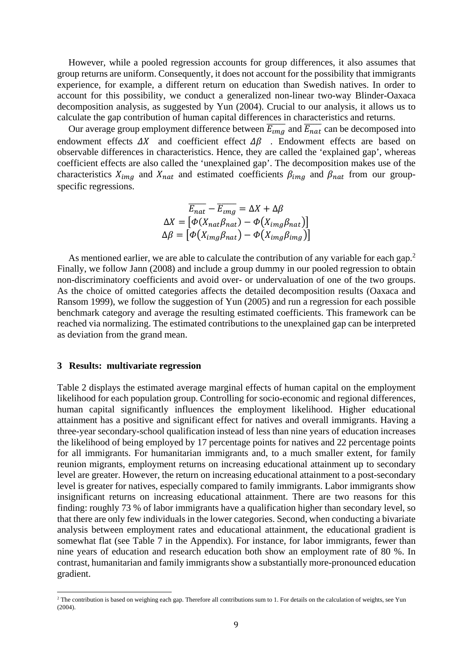However, while a pooled regression accounts for group differences, it also assumes that group returns are uniform. Consequently, it does not account for the possibility that immigrants experience, for example, a different return on education than Swedish natives. In order to account for this possibility, we conduct a generalized non-linear two-way Blinder-Oaxaca decomposition analysis, as suggested by Yun (2004). Crucial to our analysis, it allows us to calculate the gap contribution of human capital differences in characteristics and returns.

Our average group employment difference between  $\overline{E_{img}}$  and  $\overline{E_{nat}}$  can be decomposed into endowment effects  $\Delta X$  and coefficient effect  $\Delta \beta$ . Endowment effects are based on observable differences in characteristics. Hence, they are called the 'explained gap', whereas coefficient effects are also called the 'unexplained gap'. The decomposition makes use of the characteristics  $X_{img}$  and  $X_{nat}$  and estimated coefficients  $\beta_{img}$  and  $\beta_{nat}$  from our groupspecific regressions.

$$
\overline{E_{nat}} - \overline{E_{img}} = \Delta X + \Delta \beta
$$

$$
\Delta X = [\Phi(X_{nat} \beta_{nat}) - \Phi(X_{img} \beta_{nat})]
$$

$$
\Delta \beta = [\Phi(X_{img} \beta_{nat}) - \Phi(X_{img} \beta_{img})]
$$

As mentioned earlier, we are able to calculate the contribution of any variable for each gap.<sup>2</sup> Finally, we follow Jann (2008) and include a group dummy in our pooled regression to obtain non-discriminatory coefficients and avoid over- or undervaluation of one of the two groups. As the choice of omitted categories affects the detailed decomposition results (Oaxaca and Ransom 1999), we follow the suggestion of Yun (2005) and run a regression for each possible benchmark category and average the resulting estimated coefficients. This framework can be reached via normalizing. The estimated contributions to the unexplained gap can be interpreted as deviation from the grand mean.

#### **3 Results: multivariate regression**

 

Table 2 displays the estimated average marginal effects of human capital on the employment likelihood for each population group. Controlling for socio-economic and regional differences, human capital significantly influences the employment likelihood. Higher educational attainment has a positive and significant effect for natives and overall immigrants. Having a three-year secondary-school qualification instead of less than nine years of education increases the likelihood of being employed by 17 percentage points for natives and 22 percentage points for all immigrants. For humanitarian immigrants and, to a much smaller extent, for family reunion migrants, employment returns on increasing educational attainment up to secondary level are greater. However, the return on increasing educational attainment to a post-secondary level is greater for natives, especially compared to family immigrants. Labor immigrants show insignificant returns on increasing educational attainment. There are two reasons for this finding: roughly 73 % of labor immigrants have a qualification higher than secondary level, so that there are only few individuals in the lower categories. Second, when conducting a bivariate analysis between employment rates and educational attainment, the educational gradient is somewhat flat (see Table 7 in the Appendix). For instance, for labor immigrants, fewer than nine years of education and research education both show an employment rate of 80 %. In contrast, humanitarian and family immigrants show a substantially more-pronounced education gradient.

<sup>&</sup>lt;sup>2</sup> The contribution is based on weighing each gap. Therefore all contributions sum to 1. For details on the calculation of weights, see Yun (2004).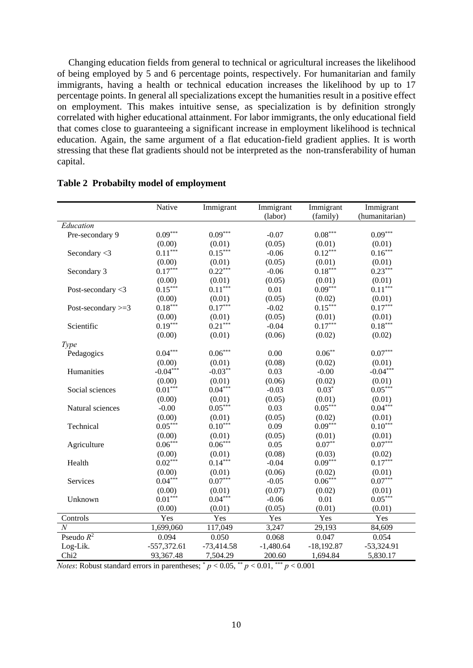Changing education fields from general to technical or agricultural increases the likelihood of being employed by 5 and 6 percentage points, respectively. For humanitarian and family immigrants, having a health or technical education increases the likelihood by up to 17 percentage points. In general all specializations except the humanities result in a positive effect on employment. This makes intuitive sense, as specialization is by definition strongly correlated with higher educational attainment. For labor immigrants, the only educational field that comes close to guaranteeing a significant increase in employment likelihood is technical education. Again, the same argument of a flat education-field gradient applies. It is worth stressing that these flat gradients should not be interpreted as the non-transferability of human capital.

|                       | Native                | Immigrant             | Immigrant   | Immigrant    | Immigrant             |
|-----------------------|-----------------------|-----------------------|-------------|--------------|-----------------------|
|                       |                       |                       | (labor)     | (family)     | (humanitarian)        |
| Education             |                       |                       |             |              |                       |
| Pre-secondary 9       | $0.09^{\ast\ast\ast}$ | $0.09***$             | $-0.07$     | $0.08***$    | $0.09***$             |
|                       | (0.00)                | (0.01)                | (0.05)      | (0.01)       | (0.01)                |
| Secondary <3          | $0.11***$             | $0.15***$             | $-0.06$     | $0.12***$    | $0.16***$             |
|                       | (0.00)                | (0.01)                | (0.05)      | (0.01)       | (0.01)                |
| Secondary 3           | $0.17***$             | $0.22***$             | $-0.06$     | $0.18***$    | $0.23***$             |
|                       | (0.00)                | (0.01)                | (0.05)      | (0.01)       | (0.01)                |
| Post-secondary $<$ 3  | $0.15***$             | $0.11***$             | 0.01        | $0.09***$    | $0.11***$             |
|                       | (0.00)                | (0.01)                | (0.05)      | (0.02)       | (0.01)                |
| Post-secondary $>=$ 3 | $0.18***$             | $0.17***$             | $-0.02$     | $0.15***$    | $0.17***$             |
|                       | (0.00)                | (0.01)                | (0.05)      | (0.01)       | (0.01)                |
| Scientific            | $0.19***$             | $0.21***$             | $-0.04$     | $0.17***$    | $0.18***$             |
|                       | (0.00)                | (0.01)                | (0.06)      | (0.02)       | (0.02)                |
| Type                  |                       |                       |             |              |                       |
| Pedagogics            | $0.04^{\ast\ast\ast}$ | $0.06^{\ast\ast\ast}$ | 0.00        | $0.06***$    | $0.07^{\ast\ast\ast}$ |
|                       | (0.00)                | (0.01)                | (0.08)      | (0.02)       | (0.01)                |
| Humanities            | $-0.04***$            | $-0.03**$             | 0.03        | $-0.00$      | $-0.04***$            |
|                       | (0.00)                | (0.01)                | (0.06)      | (0.02)       | (0.01)                |
| Social sciences       | $0.01***$             | $0.04***$             | $-0.03$     | $0.03*$      | $0.05***$             |
|                       | (0.00)                | (0.01)                | (0.05)      | (0.01)       | (0.01)                |
| Natural sciences      | $-0.00$               | $0.05***$             | 0.03        | $0.05***$    | $0.04***$             |
|                       | (0.00)                | (0.01)                | (0.05)      | (0.02)       | (0.01)                |
| Technical             | $0.05***$             | $0.10***$             | 0.09        | $0.09***$    | $0.10***$             |
|                       | (0.00)                | (0.01)                | (0.05)      | (0.01)       | (0.01)                |
| Agriculture           | $0.06***$             | $0.06***$             | 0.05        | $0.07**$     | $0.07***$             |
|                       | (0.00)                | (0.01)                | (0.08)      | (0.03)       | (0.02)                |
| Health                | $0.02***$             | $0.14***$             | $-0.04$     | $0.09***$    | $0.17***$             |
|                       | (0.00)                | (0.01)                | (0.06)      | (0.02)       | (0.01)                |
| Services              | $0.04***$             | $0.07***$             | $-0.05$     | $0.06***$    | $0.07***$             |
|                       | (0.00)                | (0.01)                | (0.07)      | (0.02)       | (0.01)                |
| Unknown               | $0.01***$             | $0.04***$             | $-0.06$     | 0.01         | $0.05***$             |
|                       | (0.00)                | (0.01)                | (0.05)      | (0.01)       | (0.01)                |
| Controls              | Yes                   | Yes                   | Yes         | Yes          | Yes                   |
| $\overline{N}$        | 1,699,060             | 117,049               | 3,247       | 29,193       | 84,609                |
| Pseudo $R^2$          | 0.094                 | 0.050                 | 0.068       | 0.047        | 0.054                 |
| Log-Lik.              | $-557,372.61$         | $-73,414.58$          | $-1,480.64$ | $-18,192.87$ | $-53,324.91$          |
| Chi <sub>2</sub>      | 93,367.48             | 7,504.29              | 200.60      | 1,694.84     | 5,830.17              |

#### **Table 2 Probabilty model of employment**

*Notes*: Robust standard errors in parentheses;  $p < 0.05$ ,  $\binom{p}{p} < 0.01$ ,  $\binom{p}{p} < 0.001$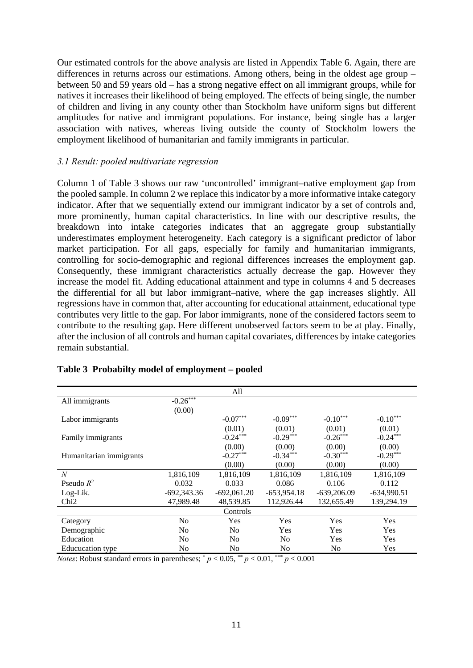Our estimated controls for the above analysis are listed in Appendix Table 6. Again, there are differences in returns across our estimations. Among others, being in the oldest age group – between 50 and 59 years old – has a strong negative effect on all immigrant groups, while for natives it increases their likelihood of being employed. The effects of being single, the number of children and living in any county other than Stockholm have uniform signs but different amplitudes for native and immigrant populations. For instance, being single has a larger association with natives, whereas living outside the county of Stockholm lowers the employment likelihood of humanitarian and family immigrants in particular.

#### *3.1 Result: pooled multivariate regression*

Column 1 of Table 3 shows our raw 'uncontrolled' immigrant–native employment gap from the pooled sample. In column 2 we replace this indicator by a more informative intake category indicator. After that we sequentially extend our immigrant indicator by a set of controls and, more prominently, human capital characteristics. In line with our descriptive results, the breakdown into intake categories indicates that an aggregate group substantially underestimates employment heterogeneity. Each category is a significant predictor of labor market participation. For all gaps, especially for family and humanitarian immigrants, controlling for socio-demographic and regional differences increases the employment gap. Consequently, these immigrant characteristics actually decrease the gap. However they increase the model fit. Adding educational attainment and type in columns 4 and 5 decreases the differential for all but labor immigrant–native, where the gap increases slightly. All regressions have in common that, after accounting for educational attainment, educational type contributes very little to the gap. For labor immigrants, none of the considered factors seem to contribute to the resulting gap. Here different unobserved factors seem to be at play. Finally, after the inclusion of all controls and human capital covariates, differences by intake categories remain substantial.

|                         |                        | All            |                |               |               |
|-------------------------|------------------------|----------------|----------------|---------------|---------------|
| All immigrants          | $-0.26$ <sup>***</sup> |                |                |               |               |
|                         | (0.00)                 |                |                |               |               |
| Labor immigrants        |                        | $-0.07***$     | $-0.09***$     | $-0.10***$    | $-0.10***$    |
|                         |                        | (0.01)         | (0.01)         | (0.01)        | (0.01)        |
| Family immigrants       |                        | $-0.24***$     | $-0.29***$     | $-0.26***$    | $-0.24***$    |
|                         |                        | (0.00)         | (0.00)         | (0.00)        | (0.00)        |
| Humanitarian immigrants |                        | $-0.27***$     | $-0.34***$     | $-0.30***$    | $-0.29***$    |
|                         |                        | (0.00)         | (0.00)         | (0.00)        | (0.00)        |
| $\overline{N}$          | 1,816,109              | 1,816,109      | 1,816,109      | 1,816,109     | 1,816,109     |
| Pseudo $R^2$            | 0.032                  | 0.033          | 0.086          | 0.106         | 0.112         |
| Log-Lik.                | $-692,343.36$          | $-692,061.20$  | $-653,954.18$  | $-639,206.09$ | $-634,990.51$ |
| Ch <sub>i</sub> 2       | 47,989.48              | 48,539.85      | 112,926.44     | 132,655.49    | 139,294.19    |
|                         |                        | Controls       |                |               |               |
| Category                | No.                    | Yes            | Yes            | Yes           | Yes           |
| Demographic             | No                     | N <sub>0</sub> | Yes            | Yes           | <b>Yes</b>    |
| Education               | N <sub>0</sub>         | N <sub>0</sub> | N <sub>0</sub> | Yes           | Yes           |
| <b>Educucation type</b> | N <sub>0</sub>         | N <sub>0</sub> | N <sub>0</sub> | No            | Yes           |

#### **Table 3 Probabilty model of employment – pooled**

*Notes*: Robust standard errors in parentheses;  $p < 0.05$ ,  $\binom{**}{p} < 0.01$ ,  $\binom{***}{p} < 0.001$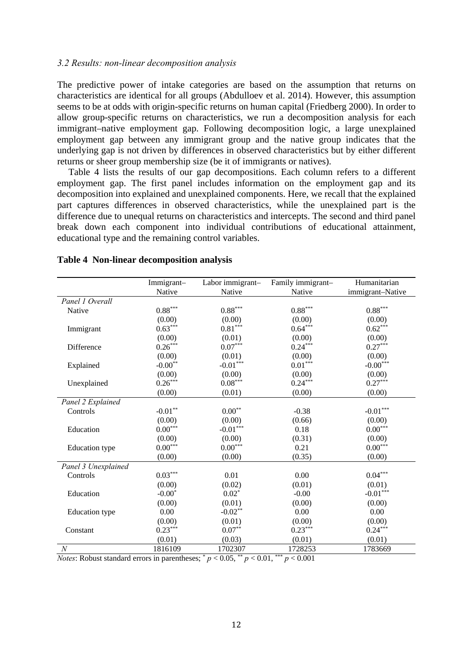#### *3.2 Results: non-linear decomposition analysis*

The predictive power of intake categories are based on the assumption that returns on characteristics are identical for all groups (Abdulloev et al. 2014). However, this assumption seems to be at odds with origin-specific returns on human capital (Friedberg 2000). In order to allow group-specific returns on characteristics, we run a decomposition analysis for each immigrant–native employment gap. Following decomposition logic, a large unexplained employment gap between any immigrant group and the native group indicates that the underlying gap is not driven by differences in observed characteristics but by either different returns or sheer group membership size (be it of immigrants or natives).

Table 4 lists the results of our gap decompositions. Each column refers to a different employment gap. The first panel includes information on the employment gap and its decomposition into explained and unexplained components. Here, we recall that the explained part captures differences in observed characteristics, while the unexplained part is the difference due to unequal returns on characteristics and intercepts. The second and third panel break down each component into individual contributions of educational attainment, educational type and the remaining control variables.

|                       | Immigrant-                  | Labor immigrant-      | Family immigrant-     | Humanitarian           |
|-----------------------|-----------------------------|-----------------------|-----------------------|------------------------|
|                       | Native                      | Native                | Native                | immigrant-Native       |
| Panel 1 Overall       |                             |                       |                       |                        |
| Native                | $0.88***$                   | $0.88^{\ast\ast\ast}$ | $0.88^{\ast\ast\ast}$ | $0.88^{\ast\ast\ast}$  |
|                       | (0.00)                      | (0.00)                | (0.00)                | (0.00)                 |
| Immigrant             | $0.63***$                   | $0.81***$             | $0.64***$             | $0.62***$              |
|                       | (0.00)                      | (0.01)                | (0.00)                | (0.00)                 |
| Difference            | $0.26***$                   | $0.07***$             | $0.24***$             | $0.27***$              |
|                       | (0.00)                      | (0.01)                | (0.00)                | (0.00)                 |
| Explained             | $-0.00**$                   | $-0.01***$            | $0.01^{\ast\ast\ast}$ | $-0.00***$             |
|                       | (0.00)                      | (0.00)                | (0.00)                | (0.00)                 |
| Unexplained           | $0.26***$                   | $0.08***$             | $0.24***$             | $0.27***$              |
|                       | (0.00)                      | (0.01)                | (0.00)                | (0.00)                 |
| Panel 2 Explained     |                             |                       |                       |                        |
| Controls              | $\textbf{-0.01}^{\ast\ast}$ | $0.00***$             | $-0.38$               | $\textbf{-0.01}^{***}$ |
|                       | (0.00)                      | (0.00)                | (0.66)                | (0.00)                 |
| Education             | $0.00^{\ast\ast\ast}$       | $-0.01***$            | 0.18                  | $0.00^{\ast\ast\ast}$  |
|                       | (0.00)                      | (0.00)                | (0.31)                | (0.00)                 |
| <b>Education</b> type | $0.00***$                   | $0.00***$             | 0.21                  | $0.00^{\ast\ast\ast}$  |
|                       | (0.00)                      | (0.00)                | (0.35)                | (0.00)                 |
| Panel 3 Unexplained   |                             |                       |                       |                        |
| Controls              | $0.03^{\ast\ast\ast}$       | 0.01                  | 0.00                  | $0.04^{\ast\ast\ast}$  |
|                       | (0.00)                      | (0.02)                | (0.01)                | (0.01)                 |
| Education             | $-0.00*$                    | $0.02*$               | $-0.00$               | $-0.01***$             |
|                       | (0.00)                      | (0.01)                | (0.00)                | (0.00)                 |
| <b>Education</b> type | 0.00                        | $-0.02**$             | 0.00                  | 0.00                   |
|                       | (0.00)                      | (0.01)                | (0.00)                | (0.00)                 |
| Constant              | $0.23***$                   | $0.07**$              | $0.23***$             | $0.24***$              |
|                       | (0.01)                      | (0.03)                | (0.01)                | (0.01)                 |
| $\boldsymbol{N}$      | 1816109                     | 1702307               | 1728253               | 1783669                |

#### **Table 4 Non-linear decomposition analysis**

*Notes*: Robust standard errors in parentheses;  $p < 0.05$ ,  $\binom{**}{p} < 0.01$ ,  $\binom{***}{p} < 0.001$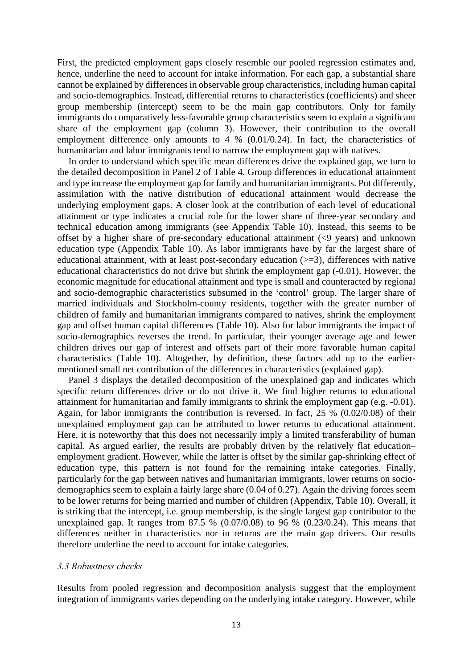First, the predicted employment gaps closely resemble our pooled regression estimates and, hence, underline the need to account for intake information. For each gap, a substantial share cannot be explained by differences in observable group characteristics, including human capital and socio-demographics. Instead, differential returns to characteristics (coefficients) and sheer group membership (intercept) seem to be the main gap contributors. Only for family immigrants do comparatively less-favorable group characteristics seem to explain a significant share of the employment gap (column 3). However, their contribution to the overall employment difference only amounts to 4 % (0.01/0.24). In fact, the characteristics of humanitarian and labor immigrants tend to narrow the employment gap with natives.

In order to understand which specific mean differences drive the explained gap, we turn to the detailed decomposition in Panel 2 of Table 4. Group differences in educational attainment and type increase the employment gap for family and humanitarian immigrants. Put differently, assimilation with the native distribution of educational attainment would decrease the underlying employment gaps. A closer look at the contribution of each level of educational attainment or type indicates a crucial role for the lower share of three-year secondary and technical education among immigrants (see Appendix Table 10). Instead, this seems to be offset by a higher share of pre-secondary educational attainment (<9 years) and unknown education type (Appendix Table 10). As labor immigrants have by far the largest share of educational attainment, with at least post-secondary education  $(>= 3)$ , differences with native educational characteristics do not drive but shrink the employment gap (-0.01). However, the economic magnitude for educational attainment and type is small and counteracted by regional and socio-demographic characteristics subsumed in the 'control' group. The larger share of married individuals and Stockholm-county residents, together with the greater number of children of family and humanitarian immigrants compared to natives, shrink the employment gap and offset human capital differences (Table 10). Also for labor immigrants the impact of socio-demographics reverses the trend. In particular, their younger average age and fewer children drives our gap of interest and offsets part of their more favorable human capital characteristics (Table 10). Altogether, by definition, these factors add up to the earliermentioned small net contribution of the differences in characteristics (explained gap).

Panel 3 displays the detailed decomposition of the unexplained gap and indicates which specific return differences drive or do not drive it. We find higher returns to educational attainment for humanitarian and family immigrants to shrink the employment gap (e.g. -0.01). Again, for labor immigrants the contribution is reversed. In fact, 25 % (0.02/0.08) of their unexplained employment gap can be attributed to lower returns to educational attainment. Here, it is noteworthy that this does not necessarily imply a limited transferability of human capital. As argued earlier, the results are probably driven by the relatively flat education– employment gradient. However, while the latter is offset by the similar gap-shrinking effect of education type, this pattern is not found for the remaining intake categories. Finally, particularly for the gap between natives and humanitarian immigrants, lower returns on sociodemographics seem to explain a fairly large share (0.04 of 0.27). Again the driving forces seem to be lower returns for being married and number of children (Appendix, Table 10). Overall, it is striking that the intercept, i.e. group membership, is the single largest gap contributor to the unexplained gap. It ranges from  $87.5 \%$   $(0.07/0.08)$  to 96 %  $(0.23/0.24)$ . This means that differences neither in characteristics nor in returns are the main gap drivers. Our results therefore underline the need to account for intake categories.

#### *3.3 Robustness checks*

Results from pooled regression and decomposition analysis suggest that the employment integration of immigrants varies depending on the underlying intake category. However, while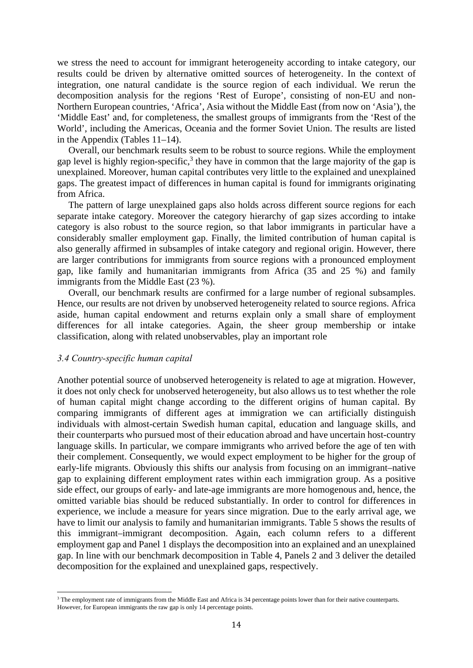we stress the need to account for immigrant heterogeneity according to intake category, our results could be driven by alternative omitted sources of heterogeneity. In the context of integration, one natural candidate is the source region of each individual. We rerun the decomposition analysis for the regions 'Rest of Europe', consisting of non-EU and non-Northern European countries, 'Africa', Asia without the Middle East (from now on 'Asia'), the 'Middle East' and, for completeness, the smallest groups of immigrants from the 'Rest of the World', including the Americas, Oceania and the former Soviet Union. The results are listed in the Appendix (Tables 11–14).

Overall, our benchmark results seem to be robust to source regions. While the employment gap level is highly region-specific,<sup>3</sup> they have in common that the large majority of the gap is unexplained. Moreover, human capital contributes very little to the explained and unexplained gaps. The greatest impact of differences in human capital is found for immigrants originating from Africa.

The pattern of large unexplained gaps also holds across different source regions for each separate intake category. Moreover the category hierarchy of gap sizes according to intake category is also robust to the source region, so that labor immigrants in particular have a considerably smaller employment gap. Finally, the limited contribution of human capital is also generally affirmed in subsamples of intake category and regional origin. However, there are larger contributions for immigrants from source regions with a pronounced employment gap, like family and humanitarian immigrants from Africa (35 and 25 %) and family immigrants from the Middle East (23 %).

Overall, our benchmark results are confirmed for a large number of regional subsamples. Hence, our results are not driven by unobserved heterogeneity related to source regions. Africa aside, human capital endowment and returns explain only a small share of employment differences for all intake categories. Again, the sheer group membership or intake classification, along with related unobservables, play an important role

#### *3.4 Country-specific human capital*

 

Another potential source of unobserved heterogeneity is related to age at migration. However, it does not only check for unobserved heterogeneity, but also allows us to test whether the role of human capital might change according to the different origins of human capital. By comparing immigrants of different ages at immigration we can artificially distinguish individuals with almost-certain Swedish human capital, education and language skills, and their counterparts who pursued most of their education abroad and have uncertain host-country language skills. In particular, we compare immigrants who arrived before the age of ten with their complement. Consequently, we would expect employment to be higher for the group of early-life migrants. Obviously this shifts our analysis from focusing on an immigrant–native gap to explaining different employment rates within each immigration group. As a positive side effect, our groups of early- and late-age immigrants are more homogenous and, hence, the omitted variable bias should be reduced substantially. In order to control for differences in experience, we include a measure for years since migration. Due to the early arrival age, we have to limit our analysis to family and humanitarian immigrants. Table 5 shows the results of this immigrant–immigrant decomposition. Again, each column refers to a different employment gap and Panel 1 displays the decomposition into an explained and an unexplained gap. In line with our benchmark decomposition in Table 4, Panels 2 and 3 deliver the detailed decomposition for the explained and unexplained gaps, respectively.

<sup>&</sup>lt;sup>3</sup> The employment rate of immigrants from the Middle East and Africa is 34 percentage points lower than for their native counterparts. However, for European immigrants the raw gap is only 14 percentage points.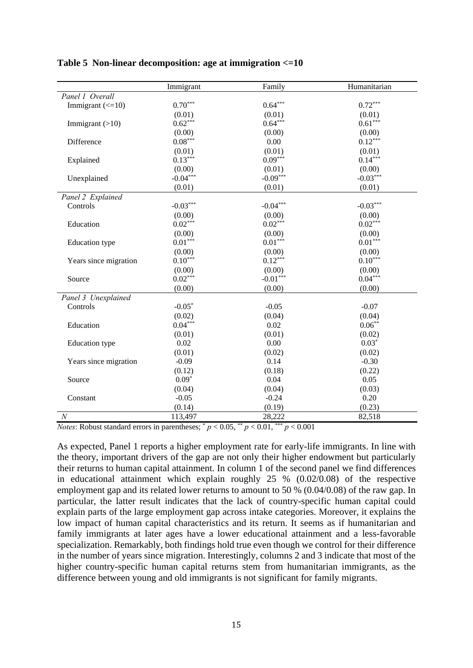|                                  | Immigrant  | Family     | Humanitarian |
|----------------------------------|------------|------------|--------------|
| Panel 1 Overall                  |            |            |              |
| Immigrant $\left(\leq=10\right)$ | $0.70***$  | $0.64***$  | $0.72***$    |
|                                  | (0.01)     | (0.01)     | (0.01)       |
| Immigrant $(>10)$                | $0.62***$  | $0.64***$  | $0.61***$    |
|                                  | (0.00)     | (0.00)     | (0.00)       |
| Difference                       | $0.08***$  | 0.00       | $0.12***$    |
|                                  | (0.01)     | (0.01)     | (0.01)       |
| Explained                        | $0.13***$  | $0.09***$  | $0.14***$    |
|                                  | (0.00)     | (0.01)     | (0.00)       |
| Unexplained                      | $-0.04***$ | $-0.09***$ | $-0.03***$   |
|                                  | (0.01)     | (0.01)     | (0.01)       |
| Panel 2 Explained                |            |            |              |
| Controls                         | $-0.03***$ | $-0.04***$ | $-0.03***$   |
|                                  | (0.00)     | (0.00)     | (0.00)       |
| Education                        | $0.02***$  | $0.02***$  | $0.02***$    |
|                                  | (0.00)     | (0.00)     | (0.00)       |
| <b>Education</b> type            | $0.01***$  | $0.01***$  | $0.01***$    |
|                                  | (0.00)     | (0.00)     | (0.00)       |
| Years since migration            | $0.10***$  | $0.12***$  | $0.10***$    |
|                                  | (0.00)     | (0.00)     | (0.00)       |
| Source                           | $0.02***$  | $-0.01***$ | $0.04***$    |
|                                  | (0.00)     | (0.00)     | (0.00)       |
| Panel 3 Unexplained              |            |            |              |
| Controls                         | $-0.05*$   | $-0.05$    | $-0.07$      |
|                                  | (0.02)     | (0.04)     | (0.04)       |
| Education                        | $0.04***$  | 0.02       | $0.06**$     |
|                                  | (0.01)     | (0.01)     | (0.02)       |
| <b>Education</b> type            | 0.02       | 0.00       | $0.03*$      |
|                                  | (0.01)     | (0.02)     | (0.02)       |
| Years since migration            | $-0.09$    | 0.14       | $-0.30$      |
|                                  | (0.12)     | (0.18)     | (0.22)       |
| Source                           | $0.09*$    | 0.04       | 0.05         |
|                                  | (0.04)     | (0.04)     | (0.03)       |
| Constant                         | $-0.05$    | $-0.24$    | 0.20         |
|                                  | (0.14)     | (0.19)     | (0.23)       |
| $\cal N$                         | 113,497    | 28,222     | 82,518       |

#### **Table 5 Non-linear decomposition: age at immigration <=10**

*Notes*: Robust standard errors in parentheses;  $p < 0.05$ ,  $\frac{p}{p} < 0.01$ ,  $\frac{p}{p} < 0.001$ 

As expected, Panel 1 reports a higher employment rate for early-life immigrants. In line with the theory, important drivers of the gap are not only their higher endowment but particularly their returns to human capital attainment. In column 1 of the second panel we find differences in educational attainment which explain roughly 25 % (0.02/0.08) of the respective employment gap and its related lower returns to amount to 50 % (0.04/0.08) of the raw gap. In particular, the latter result indicates that the lack of country-specific human capital could explain parts of the large employment gap across intake categories. Moreover, it explains the low impact of human capital characteristics and its return. It seems as if humanitarian and family immigrants at later ages have a lower educational attainment and a less-favorable specialization. Remarkably, both findings hold true even though we control for their difference in the number of years since migration. Interestingly, columns 2 and 3 indicate that most of the higher country-specific human capital returns stem from humanitarian immigrants, as the difference between young and old immigrants is not significant for family migrants.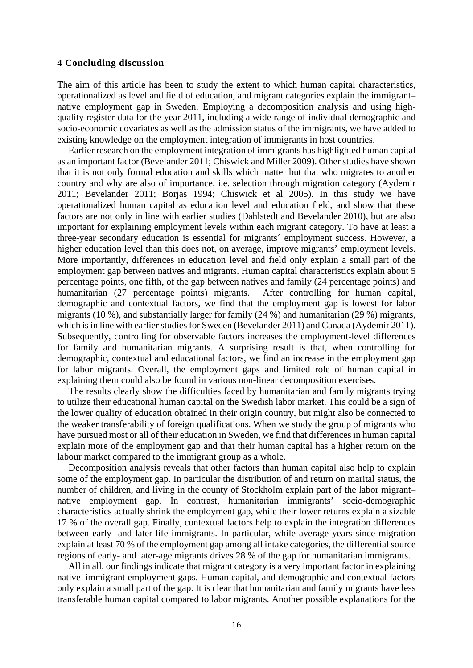#### **4 Concluding discussion**

The aim of this article has been to study the extent to which human capital characteristics, operationalized as level and field of education, and migrant categories explain the immigrant– native employment gap in Sweden. Employing a decomposition analysis and using highquality register data for the year 2011, including a wide range of individual demographic and socio-economic covariates as well as the admission status of the immigrants, we have added to existing knowledge on the employment integration of immigrants in host countries.

Earlier research on the employment integration of immigrants has highlighted human capital as an important factor (Bevelander 2011; Chiswick and Miller 2009). Other studies have shown that it is not only formal education and skills which matter but that who migrates to another country and why are also of importance, i.e. selection through migration category (Aydemir 2011; Bevelander 2011; Borjas 1994; Chiswick et al 2005). In this study we have operationalized human capital as education level and education field, and show that these factors are not only in line with earlier studies (Dahlstedt and Bevelander 2010), but are also important for explaining employment levels within each migrant category. To have at least a three-year secondary education is essential for migrants´ employment success. However, a higher education level than this does not, on average, improve migrants' employment levels. More importantly, differences in education level and field only explain a small part of the employment gap between natives and migrants. Human capital characteristics explain about 5 percentage points, one fifth, of the gap between natives and family (24 percentage points) and humanitarian (27 percentage points) migrants. After controlling for human capital, demographic and contextual factors, we find that the employment gap is lowest for labor migrants (10 %), and substantially larger for family (24 %) and humanitarian (29 %) migrants, which is in line with earlier studies for Sweden (Bevelander 2011) and Canada (Aydemir 2011). Subsequently, controlling for observable factors increases the employment-level differences for family and humanitarian migrants. A surprising result is that, when controlling for demographic, contextual and educational factors, we find an increase in the employment gap for labor migrants. Overall, the employment gaps and limited role of human capital in explaining them could also be found in various non-linear decomposition exercises.

The results clearly show the difficulties faced by humanitarian and family migrants trying to utilize their educational human capital on the Swedish labor market. This could be a sign of the lower quality of education obtained in their origin country, but might also be connected to the weaker transferability of foreign qualifications. When we study the group of migrants who have pursued most or all of their education in Sweden, we find that differences in human capital explain more of the employment gap and that their human capital has a higher return on the labour market compared to the immigrant group as a whole.

Decomposition analysis reveals that other factors than human capital also help to explain some of the employment gap. In particular the distribution of and return on marital status, the number of children, and living in the county of Stockholm explain part of the labor migrant– native employment gap. In contrast, humanitarian immigrants' socio-demographic characteristics actually shrink the employment gap, while their lower returns explain a sizable 17 % of the overall gap. Finally, contextual factors help to explain the integration differences between early- and later-life immigrants. In particular, while average years since migration explain at least 70 % of the employment gap among all intake categories, the differential source regions of early- and later-age migrants drives 28 % of the gap for humanitarian immigrants.

All in all, our findings indicate that migrant category is a very important factor in explaining native–immigrant employment gaps. Human capital, and demographic and contextual factors only explain a small part of the gap. It is clear that humanitarian and family migrants have less transferable human capital compared to labor migrants. Another possible explanations for the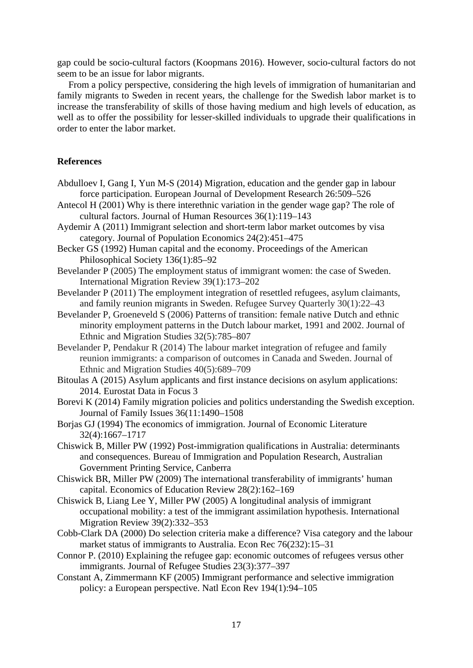gap could be socio-cultural factors (Koopmans 2016). However, socio-cultural factors do not seem to be an issue for labor migrants.

From a policy perspective, considering the high levels of immigration of humanitarian and family migrants to Sweden in recent years, the challenge for the Swedish labor market is to increase the transferability of skills of those having medium and high levels of education, as well as to offer the possibility for lesser-skilled individuals to upgrade their qualifications in order to enter the labor market.

#### **References**

- Abdulloev I, Gang I, Yun M-S (2014) Migration, education and the gender gap in labour force participation. European Journal of Development Research 26:509–526
- Antecol H (2001) Why is there interethnic variation in the gender wage gap? The role of cultural factors. Journal of Human Resources 36(1):119–143
- Aydemir A (2011) Immigrant selection and short-term labor market outcomes by visa category. Journal of Population Economics 24(2):451–475
- Becker GS (1992) Human capital and the economy. Proceedings of the American Philosophical Society 136(1):85–92
- Bevelander P (2005) The employment status of immigrant women: the case of Sweden. International Migration Review 39(1):173–202
- Bevelander P (2011) The employment integration of resettled refugees, asylum claimants, and family reunion migrants in Sweden. Refugee Survey Quarterly 30(1):22–43
- Bevelander P, Groeneveld S (2006) Patterns of transition: female native Dutch and ethnic minority employment patterns in the Dutch labour market, 1991 and 2002. Journal of Ethnic and Migration Studies 32(5):785–807
- Bevelander P, Pendakur R (2014) The labour market integration of refugee and family reunion immigrants: a comparison of outcomes in Canada and Sweden. Journal of Ethnic and Migration Studies 40(5):689–709
- Bitoulas A (2015) Asylum applicants and first instance decisions on asylum applications: 2014. Eurostat Data in Focus 3
- Borevi K (2014) Family migration policies and politics understanding the Swedish exception. Journal of Family Issues 36(11:1490–1508
- Borjas GJ (1994) The economics of immigration. Journal of Economic Literature 32(4):1667–1717
- Chiswick B, Miller PW (1992) Post-immigration qualifications in Australia: determinants and consequences. Bureau of Immigration and Population Research, Australian Government Printing Service, Canberra
- Chiswick BR, Miller PW (2009) The international transferability of immigrants' human capital. Economics of Education Review 28(2):162–169
- Chiswick B, Liang Lee Y, Miller PW (2005) A longitudinal analysis of immigrant occupational mobility: a test of the immigrant assimilation hypothesis. International Migration Review 39(2):332–353
- Cobb-Clark DA (2000) Do selection criteria make a difference? Visa category and the labour market status of immigrants to Australia. Econ Rec 76(232):15–31
- Connor P. (2010) Explaining the refugee gap: economic outcomes of refugees versus other immigrants. Journal of Refugee Studies 23(3):377–397
- Constant A, Zimmermann KF (2005) Immigrant performance and selective immigration policy: a European perspective. Natl Econ Rev 194(1):94–105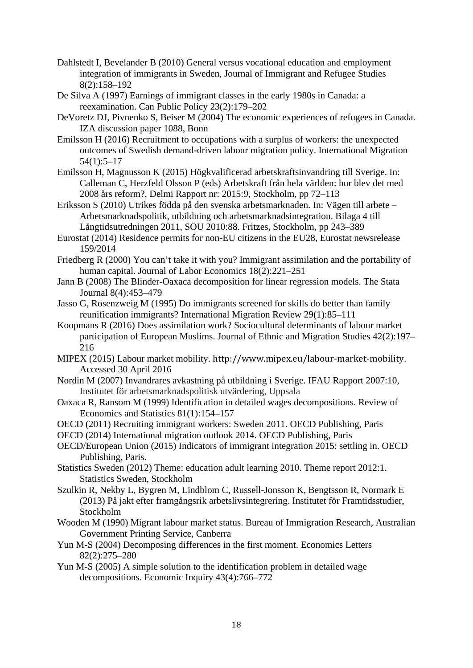- Dahlstedt I, Bevelander B (2010) General versus vocational education and employment integration of immigrants in Sweden, Journal of Immigrant and Refugee Studies 8(2):158–192
- De Silva A (1997) Earnings of immigrant classes in the early 1980s in Canada: a reexamination. Can Public Policy 23(2):179–202
- DeVoretz DJ, Pivnenko S, Beiser M (2004) The economic experiences of refugees in Canada. IZA discussion paper 1088, Bonn
- Emilsson H (2016) Recruitment to occupations with a surplus of workers: the unexpected outcomes of Swedish demand-driven labour migration policy. International Migration 54(1):5–17
- Emilsson H, Magnusson K (2015) Högkvalificerad arbetskraftsinvandring till Sverige. In: Calleman C, Herzfeld Olsson P (eds) Arbetskraft från hela världen: hur blev det med 2008 års reform?, Delmi Rapport nr: 2015:9, Stockholm, pp 72–113
- Eriksson S (2010) Utrikes födda på den svenska arbetsmarknaden. In: Vägen till arbete Arbetsmarknadspolitik, utbildning och arbetsmarknadsintegration. Bilaga 4 till Långtidsutredningen 2011, SOU 2010:88. Fritzes, Stockholm, pp 243–389
- Eurostat (2014) Residence permits for non-EU citizens in the EU28, Eurostat newsrelease 159/2014
- Friedberg R (2000) You can't take it with you? Immigrant assimilation and the portability of human capital. Journal of Labor Economics 18(2):221–251
- Jann B (2008) The Blinder-Oaxaca decomposition for linear regression models. The Stata Journal 8(4):453–479
- Jasso G, Rosenzweig M (1995) Do immigrants screened for skills do better than family reunification immigrants? International Migration Review 29(1):85–111
- Koopmans R (2016) Does assimilation work? Sociocultural determinants of labour market participation of European Muslims. Journal of Ethnic and Migration Studies 42(2):197– 216
- MIPEX (2015) Labour market mobility. http://www.mipex.eu/labour-market-mobility. Accessed 30 April 2016
- Nordin M (2007) Invandrares avkastning på utbildning i Sverige. IFAU Rapport 2007:10, Institutet för arbetsmarknadspolitisk utvärdering, Uppsala
- Oaxaca R, Ransom M (1999) Identification in detailed wages decompositions. Review of Economics and Statistics 81(1):154–157
- OECD (2011) Recruiting immigrant workers: Sweden 2011. OECD Publishing, Paris
- OECD (2014) International migration outlook 2014. OECD Publishing, Paris
- OECD/European Union (2015) Indicators of immigrant integration 2015: settling in. OECD Publishing, Paris.
- Statistics Sweden (2012) Theme: education adult learning 2010. Theme report 2012:1. Statistics Sweden, Stockholm
- Szulkin R, Nekby L, Bygren M, Lindblom C, Russell-Jonsson K, Bengtsson R, Normark E (2013) På jakt efter framgångsrik arbetslivsintegrering. Institutet för Framtidsstudier, Stockholm
- Wooden M (1990) Migrant labour market status. Bureau of Immigration Research, Australian Government Printing Service, Canberra
- Yun M-S (2004) Decomposing differences in the first moment. Economics Letters 82(2):275–280
- Yun M-S (2005) A simple solution to the identification problem in detailed wage decompositions. Economic Inquiry 43(4):766–772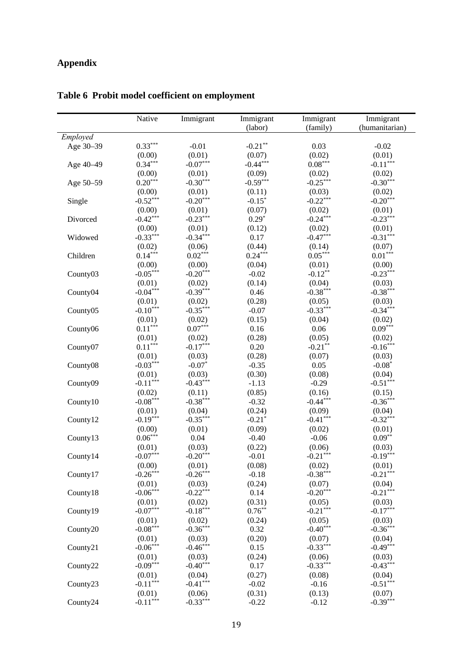# **Appendix**

|           | Native     | Immigrant  | Immigrant  | Immigrant  | Immigrant      |
|-----------|------------|------------|------------|------------|----------------|
|           |            |            | (labor)    | (family)   | (humanitarian) |
| Employed  |            |            |            |            |                |
| Age 30-39 | $0.33***$  | $-0.01$    | $-0.21***$ | 0.03       | $-0.02$        |
|           | (0.00)     | (0.01)     | (0.07)     | (0.02)     | (0.01)         |
| Age 40-49 | $0.34***$  | $-0.07***$ | $-0.44***$ | $0.08***$  | $-0.11***$     |
|           | (0.00)     | (0.01)     | (0.09)     | (0.02)     | (0.02)         |
| Age 50-59 | $0.20***$  | $-0.30***$ | $-0.59***$ | $-0.25***$ | $-0.30***$     |
|           | (0.00)     | (0.01)     | (0.11)     | (0.03)     | (0.02)         |
| Single    | $-0.52***$ | $-0.20***$ | $-0.15*$   | $-0.22***$ | $-0.20***$     |
|           | (0.00)     | (0.01)     | (0.07)     | (0.02)     | (0.01)         |
| Divorced  | $-0.42***$ | $-0.23***$ | $0.29*$    | $-0.24***$ | $-0.23***$     |
|           | (0.00)     | (0.01)     | (0.12)     | (0.02)     | (0.01)         |
| Widowed   | $-0.33***$ | $-0.34***$ | 0.17       | $-0.47***$ | $-0.31***$     |
|           | (0.02)     | (0.06)     | (0.44)     | (0.14)     | (0.07)         |
| Children  | $0.14***$  | $0.02***$  | $0.24***$  | $0.05***$  | $0.01***$      |
|           | (0.00)     | (0.00)     | (0.04)     | (0.01)     | (0.00)         |
| County03  | $-0.05***$ | $-0.20***$ | $-0.02$    | $-0.12***$ | $-0.23***$     |
|           | (0.01)     | (0.02)     | (0.14)     | (0.04)     | (0.03)         |
| County04  | $-0.04***$ | $-0.39***$ | 0.46       | $-0.38***$ | $-0.38***$     |
|           | (0.01)     | (0.02)     | (0.28)     | (0.05)     | (0.03)         |
| County05  | $-0.10***$ | $-0.35***$ | $-0.07$    | $-0.33***$ | $-0.34***$     |
|           | (0.01)     | (0.02)     | (0.15)     | (0.04)     | (0.02)         |
| County06  | $0.11***$  | $0.07***$  | 0.16       | 0.06       | $0.09***$      |
|           | (0.01)     | (0.02)     | (0.28)     | (0.05)     | (0.02)         |
| County07  | $0.11***$  | $-0.17***$ | 0.20       | $-0.21***$ | $-0.16***$     |
|           | (0.01)     | (0.03)     | (0.28)     | (0.07)     | (0.03)         |
| County08  | $-0.03***$ | $-0.07*$   | $-0.35$    | 0.05       | $-0.08*$       |
|           | (0.01)     | (0.03)     | (0.30)     | (0.08)     | (0.04)         |
| County09  | $-0.11***$ | $-0.43***$ | $-1.13$    | $-0.29$    | $-0.51***$     |
|           | (0.02)     | (0.11)     | (0.85)     | (0.16)     | (0.15)         |
| County10  | $-0.08***$ | $-0.38***$ | $-0.32$    | $-0.44***$ | $-0.36***$     |
|           | (0.01)     | (0.04)     | (0.24)     | (0.09)     | (0.04)         |
| County12  | $-0.19***$ | $-0.35***$ | $-0.21*$   | $-0.41***$ | $-0.32***$     |
|           | (0.00)     | (0.01)     | (0.09)     | (0.02)     | (0.01)         |
| County13  | $0.06***$  | 0.04       | $-0.40$    | $-0.06$    | $0.09**$       |
|           | (0.01)     | (0.03)     | (0.22)     | (0.06)     | (0.03)         |
| County14  | $-0.07***$ | $-0.20***$ | $-0.01$    | $-0.21***$ | $-0.19***$     |
|           | (0.00)     | (0.01)     | (0.08)     | (0.02)     | (0.01)         |
| County17  | $-0.26***$ | $-0.26***$ | $-0.18$    | $-0.38***$ | $-0.21***$     |
|           | (0.01)     | (0.03)     | (0.24)     | (0.07)     | (0.04)         |
| County18  | $-0.06***$ | $-0.22***$ | 0.14       | $-0.20***$ | $-0.21***$     |
|           | (0.01)     | (0.02)     | (0.31)     | (0.05)     | (0.03)         |
| County19  | $-0.07***$ | $-0.18***$ | $0.76***$  | $-0.21***$ | $-0.17***$     |
|           | (0.01)     | (0.02)     | (0.24)     | (0.05)     | (0.03)         |
| County20  | $-0.08***$ | $-0.36***$ | 0.32       | $-0.40***$ | $-0.36***$     |
|           | (0.01)     | (0.03)     | (0.20)     | (0.07)     | (0.04)         |
| County21  | $-0.06***$ | $-0.46***$ | 0.15       | $-0.33***$ | $-0.49***$     |
|           | (0.01)     | (0.03)     | (0.24)     | (0.06)     | (0.03)         |
| County22  | $-0.09***$ | $-0.40***$ | 0.17       | $-0.33***$ | $-0.43***$     |
|           | (0.01)     | (0.04)     | (0.27)     | (0.08)     | (0.04)         |
| County23  | $-0.11***$ | $-0.41***$ | $-0.02$    | $-0.16$    | $-0.51***$     |
|           | (0.01)     | (0.06)     | (0.31)     | (0.13)     | (0.07)         |
| County24  | $-0.11***$ | $-0.33***$ | $-0.22$    | $-0.12$    | $-0.39***$     |

**Table 6 Probit model coefficient on employment**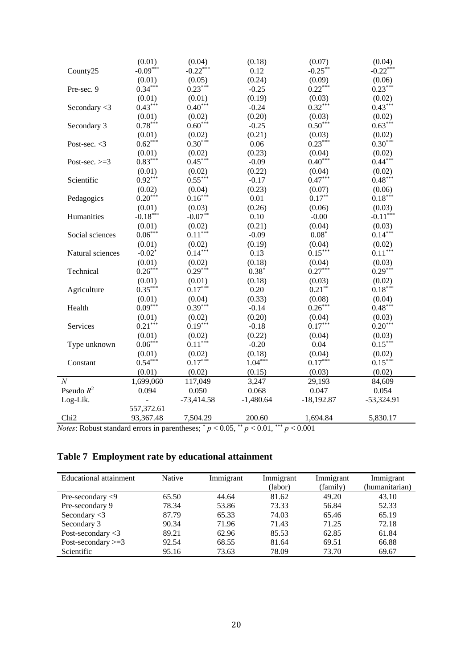| (0.04)<br>(0.18)<br>(0.07)<br>(0.04)<br>$-0.09***$<br>$-0.22***$<br>$-0.22***$<br>$-0.25***$<br>0.12<br>County25<br>(0.24)<br>(0.01)<br>(0.05)<br>(0.09)<br>(0.06)<br>$0.23***$<br>$0.34***$<br>$0.23***$<br>$0.22***$<br>$-0.25$<br>Pre-sec. 9 |  |
|-------------------------------------------------------------------------------------------------------------------------------------------------------------------------------------------------------------------------------------------------|--|
|                                                                                                                                                                                                                                                 |  |
|                                                                                                                                                                                                                                                 |  |
|                                                                                                                                                                                                                                                 |  |
| (0.19)<br>(0.02)<br>(0.01)<br>(0.01)<br>(0.03)                                                                                                                                                                                                  |  |
| $0.43***$<br>$0.40***$<br>$0.32***$<br>$0.43***$<br>Secondary <3<br>$-0.24$                                                                                                                                                                     |  |
| (0.20)<br>(0.01)<br>(0.02)<br>(0.03)<br>(0.02)                                                                                                                                                                                                  |  |
| $0.78***$<br>$0.60***$<br>$0.50***$<br>$0.63***$<br>Secondary 3<br>$-0.25$                                                                                                                                                                      |  |
| (0.21)<br>(0.02)<br>(0.01)<br>(0.02)<br>(0.03)                                                                                                                                                                                                  |  |
| $0.62***$<br>$0.30***$<br>$0.23***$<br>$0.30***$<br>0.06<br>Post-sec. $<$ 3                                                                                                                                                                     |  |
| (0.23)<br>(0.01)<br>(0.02)<br>(0.02)<br>(0.04)                                                                                                                                                                                                  |  |
| $0.83***$<br>$0.45***$<br>$0.40***$<br>$0.44***$<br>$-0.09$<br>Post-sec. $>=$ 3                                                                                                                                                                 |  |
| (0.22)<br>(0.01)<br>(0.02)<br>(0.04)<br>(0.02)                                                                                                                                                                                                  |  |
| $0.92***$<br>$0.55***$<br>$0.47***$<br>$0.48***$<br>Scientific<br>$-0.17$                                                                                                                                                                       |  |
| (0.23)<br>(0.02)<br>(0.04)<br>(0.07)<br>(0.06)                                                                                                                                                                                                  |  |
| $0.20***$<br>$0.18***$<br>$0.16***$<br>0.01<br>$0.17***$<br>Pedagogics                                                                                                                                                                          |  |
| (0.26)<br>(0.01)<br>(0.03)<br>(0.06)<br>(0.03)                                                                                                                                                                                                  |  |
| $-0.18***$<br>$-0.11***$<br>$-0.07**$<br>$0.10\,$<br>Humanities<br>$-0.00$                                                                                                                                                                      |  |
| (0.21)<br>(0.01)<br>(0.02)<br>(0.04)<br>(0.03)                                                                                                                                                                                                  |  |
| $0.06***$<br>$0.11***$<br>$0.14***$<br>$-0.09$<br>$0.08*$<br>Social sciences                                                                                                                                                                    |  |
| (0.01)<br>(0.02)<br>(0.19)<br>(0.04)<br>(0.02)                                                                                                                                                                                                  |  |
| $0.14***$<br>$0.15***$<br>$0.11^{\ast\ast\ast}$<br>$-0.02$ <sup>*</sup><br>0.13<br>Natural sciences                                                                                                                                             |  |
| (0.01)<br>(0.18)<br>(0.02)<br>(0.04)<br>(0.03)                                                                                                                                                                                                  |  |
| $0.26***$<br>$0.29***$<br>$0.27***$<br>$0.29***$<br>$0.38*$<br>Technical                                                                                                                                                                        |  |
| (0.01)<br>(0.18)<br>(0.03)<br>(0.02)<br>(0.01)                                                                                                                                                                                                  |  |
| $0.35***$<br>$0.17***$<br>$0.21***$<br>$0.18***$<br>0.20<br>Agriculture                                                                                                                                                                         |  |
| (0.33)<br>(0.08)<br>(0.01)<br>(0.04)<br>(0.04)                                                                                                                                                                                                  |  |
| $0.09***$<br>$0.26***$<br>$0.48***$<br>$0.39***$<br>$-0.14$<br>Health                                                                                                                                                                           |  |
| (0.20)<br>(0.01)<br>(0.02)<br>(0.04)<br>(0.03)                                                                                                                                                                                                  |  |
| $0.21***$<br>$0.19***$<br>$0.17***$<br>$0.20***$<br>$-0.18$<br>Services                                                                                                                                                                         |  |
| (0.22)<br>(0.01)<br>(0.02)<br>(0.04)<br>(0.03)                                                                                                                                                                                                  |  |
| $0.06***$<br>$0.15***$<br>$0.11***$<br>$-0.20$<br>0.04<br>Type unknown                                                                                                                                                                          |  |
| (0.01)<br>(0.02)<br>(0.18)<br>(0.04)<br>(0.02)                                                                                                                                                                                                  |  |
| $0.54***$<br>$0.17***$<br>$1.04***$<br>$0.17***$<br>$0.15***$<br>Constant                                                                                                                                                                       |  |
| (0.01)<br>(0.02)<br>(0.15)<br>(0.03)<br>(0.02)                                                                                                                                                                                                  |  |
| $\overline{N}$<br>117,049<br>3,247<br>84,609<br>1,699,060<br>29,193                                                                                                                                                                             |  |
| Pseudo $R^2$<br>0.094<br>0.050<br>0.068<br>0.047<br>0.054                                                                                                                                                                                       |  |
| $-1,480.64$<br>$-53,324.91$<br>Log-Lik.<br>$-73,414.58$<br>$-18,192.87$<br>$\frac{1}{2}$                                                                                                                                                        |  |
| 557,372.61                                                                                                                                                                                                                                      |  |
| Chi <sub>2</sub><br>93,367.48<br>7,504.29<br>200.60<br>1,694.84<br>5,830.17                                                                                                                                                                     |  |

*Notes*: Robust standard errors in parentheses;  $p < 0.05$ ,  $\binom{4}{3}$   $p < 0.01$ ,  $\binom{4}{3}$   $p < 0.001$ 

# **Table 7 Employment rate by educational attainment**

| Educational attainment            | <b>Native</b> | Immigrant | Immigrant | Immigrant | Immigrant      |
|-----------------------------------|---------------|-----------|-----------|-----------|----------------|
|                                   |               |           | (labor)   | (family)  | (humanitarian) |
| Pre-secondary $\langle 9 \rangle$ | 65.50         | 44.64     | 81.62     | 49.20     | 43.10          |
| Pre-secondary 9                   | 78.34         | 53.86     | 73.33     | 56.84     | 52.33          |
| Secondary $<$ 3                   | 87.79         | 65.33     | 74.03     | 65.46     | 65.19          |
| Secondary 3                       | 90.34         | 71.96     | 71.43     | 71.25     | 72.18          |
| Post-secondary $<$ 3              | 89.21         | 62.96     | 85.53     | 62.85     | 61.84          |
| Post-secondary $>=$ 3             | 92.54         | 68.55     | 81.64     | 69.51     | 66.88          |
| Scientific                        | 95.16         | 73.63     | 78.09     | 73.70     | 69.67          |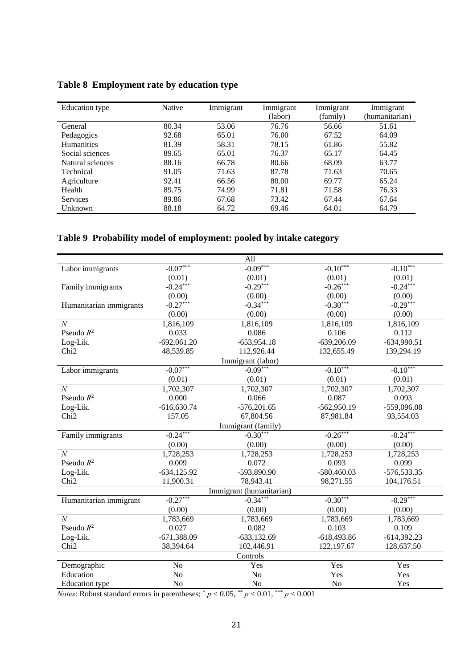| Education type    | Native | Immigrant | Immigrant<br>(labor) | Immigrant<br>(family) | Immigrant<br>(humanitarian) |
|-------------------|--------|-----------|----------------------|-----------------------|-----------------------------|
| General           | 80.34  | 53.06     | 76.76                | 56.66                 | 51.61                       |
| Pedagogics        | 92.68  | 65.01     | 76.00                | 67.52                 | 64.09                       |
| <b>Humanities</b> | 81.39  | 58.31     | 78.15                | 61.86                 | 55.82                       |
| Social sciences   | 89.65  | 65.01     | 76.37                | 65.17                 | 64.45                       |
| Natural sciences  | 88.16  | 66.78     | 80.66                | 68.09                 | 63.77                       |
| Technical         | 91.05  | 71.63     | 87.78                | 71.63                 | 70.65                       |
| Agriculture       | 92.41  | 66.56     | 80.00                | 69.77                 | 65.24                       |
| Health            | 89.75  | 74.99     | 71.81                | 71.58                 | 76.33                       |
| <b>Services</b>   | 89.86  | 67.68     | 73.42                | 67.44                 | 67.64                       |
| Unknown           | 88.18  | 64.72     | 69.46                | 64.01                 | 64.79                       |

### **Table 8 Employment rate by education type**

### **Table 9 Probability model of employment: pooled by intake category**

| All                     |                |                          |                |               |  |  |
|-------------------------|----------------|--------------------------|----------------|---------------|--|--|
| Labor immigrants        | $-0.07***$     | $-0.09***$               | $-0.10***$     | $-0.10***$    |  |  |
|                         | (0.01)         | (0.01)                   | (0.01)         | (0.01)        |  |  |
| Family immigrants       | $-0.24***$     | $-0.29***$               | $-0.26***$     | $-0.24***$    |  |  |
|                         | (0.00)         | (0.00)                   | (0.00)         | (0.00)        |  |  |
| Humanitarian immigrants | $-0.27***$     | $-0.34***$               | $-0.30***$     | $-0.29***$    |  |  |
|                         | (0.00)         | (0.00)                   | (0.00)         | (0.00)        |  |  |
| $\boldsymbol{N}$        | 1,816,109      | 1,816,109                | 1,816,109      | 1,816,109     |  |  |
| Pseudo $R^2$            | 0.033          | 0.086                    | 0.106          | 0.112         |  |  |
| Log-Lik.                | $-692,061.20$  | $-653,954.18$            | $-639,206.09$  | $-634,990.51$ |  |  |
| Chi <sub>2</sub>        | 48,539.85      | 112,926.44               | 132,655.49     | 139,294.19    |  |  |
|                         |                | Immigrant (labor)        |                |               |  |  |
| Labor immigrants        | $-0.07***$     | $-0.09***$               | $-0.10***$     | $-0.10***$    |  |  |
|                         | (0.01)         | (0.01)                   | (0.01)         | (0.01)        |  |  |
| $\mathcal{N}$           | 1,702,307      | 1,702,307                | 1,702,307      | 1,702,307     |  |  |
| Pseudo $R^2$            | 0.000          | 0.066                    | 0.087          | 0.093         |  |  |
| Log-Lik.                | $-616,630.74$  | $-576,201.65$            | $-562,950.19$  | -559,096.08   |  |  |
| Chi <sub>2</sub>        | 157.05         | 67,804.56                | 87,981.84      | 93,554.03     |  |  |
|                         |                | Immigrant (family)       |                |               |  |  |
| Family immigrants       | $-0.24***$     | $-0.30***$               | $-0.26***$     | $-0.24***$    |  |  |
|                         | (0.00)         | (0.00)                   | (0.00)         | (0.00)        |  |  |
| $\overline{N}$          | 1,728,253      | 1,728,253                | 1,728,253      | 1,728,253     |  |  |
| Pseudo $R^2$            | 0.009          | 0.072                    | 0.093          | 0.099         |  |  |
| Log-Lik.                | $-634, 125.92$ | -593,890.90              | $-580,460.03$  | $-576,533.35$ |  |  |
| Chi <sub>2</sub>        | 11,900.31      | 78,943.41                | 98,271.55      | 104,176.51    |  |  |
|                         |                | Immigrant (humanitarian) |                |               |  |  |
| Humanitarian immigrant  | $-0.27***$     | $-0.34***$               | $-0.30***$     | $-0.29***$    |  |  |
|                         | (0.00)         | (0.00)                   | (0.00)         | (0.00)        |  |  |
| $\mathcal N$            | 1,783,669      | 1,783,669                | 1,783,669      | 1,783,669     |  |  |
| Pseudo $R^2$            | 0.027          | 0.082                    | 0.103          | 0.109         |  |  |
| Log-Lik.                | $-671,388.09$  | $-633,132.69$            | $-618,493.86$  | $-614,392.23$ |  |  |
| Chi <sub>2</sub>        | 38,394.64      | 102,446.91               | 122,197.67     | 128,637.50    |  |  |
|                         |                | Controls                 |                |               |  |  |
| Demographic             | N <sub>o</sub> | Yes                      | Yes            | Yes           |  |  |
| Education               | No             | N <sub>o</sub>           | Yes            | Yes           |  |  |
| <b>Education</b> type   | No             | N <sub>o</sub>           | N <sub>o</sub> | Yes           |  |  |

*Notes*: Robust standard errors in parentheses;  $p < 0.05$ ,  $\binom{1}{p} < 0.01$ ,  $\binom{1}{p} < 0.001$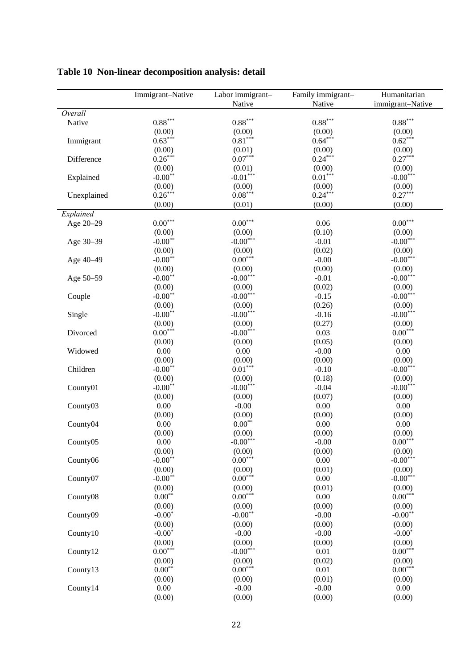|                      | Immigrant-Native      | Labor immigrant- | Family immigrant- | Humanitarian          |
|----------------------|-----------------------|------------------|-------------------|-----------------------|
|                      |                       | Native           | Native            | immigrant-Native      |
| Overall              |                       |                  |                   |                       |
| Native               | $0.88^{\ast\ast\ast}$ | $0.88***$        | $0.88***$         | $0.88***$             |
|                      | (0.00)                | (0.00)           | (0.00)            | (0.00)                |
| Immigrant            | $0.63***$             | $0.81***$        | $0.64***$         | $0.62***$             |
|                      | (0.00)                | (0.01)           | (0.00)            | (0.00)                |
| Difference           | $0.26***$             | $0.07***$        | $0.24***$         | $0.27***$             |
|                      | (0.00)                | (0.01)           | (0.00)            | (0.00)                |
| Explained            | $-0.00**$             | $-0.01***$       | $0.01***$         | $-0.00***$            |
|                      | (0.00)                | (0.00)           | (0.00)            | (0.00)                |
| Unexplained          | $0.26***$             | $0.08***$        | $0.24***$         | $0.27***$             |
|                      | (0.00)                | (0.01)           | (0.00)            | (0.00)                |
| Explained            |                       |                  |                   |                       |
| Age 20-29            | $0.00^{\ast\ast\ast}$ | $0.00***$        | 0.06              | $0.00^{\ast\ast\ast}$ |
|                      | (0.00)                | (0.00)           | (0.10)            | (0.00)                |
| Age 30-39            | $-0.00**$             | $-0.00***$       | $-0.01$           | $-0.00***$            |
|                      | (0.00)                | (0.00)           | (0.02)            | (0.00)                |
| Age 40-49            | $-0.00**$             | $0.00***$        | $-0.00$           | $-0.00***$            |
|                      | (0.00)                | (0.00)           | (0.00)            | (0.00)                |
| Age 50-59            | $-0.00**$             | $-0.00***$       | $-0.01$           | $-0.00***$            |
|                      | (0.00)                | (0.00)           | (0.02)            | (0.00)                |
| Couple               | $-0.00**$             | $-0.00***$       | $-0.15$           | $-0.00***$            |
|                      | (0.00)                | (0.00)           | (0.26)            | (0.00)                |
| Single               | $-0.00**$             | $-0.00***$       | $-0.16$           | $-0.00***$            |
|                      | (0.00)                | (0.00)           | (0.27)            | (0.00)                |
| Divorced             | $0.00***$             | $-0.00***$       | 0.03              | $0.00***$             |
|                      | (0.00)                | (0.00)           | (0.05)            | (0.00)                |
| Widowed              | 0.00                  | 0.00             | $-0.00$           | 0.00                  |
|                      | (0.00)                | (0.00)           | (0.00)            | (0.00)                |
| Children             | $-0.00**$             | $0.01***$        | $-0.10$           | $-0.00***$            |
|                      | (0.00)                | (0.00)           | (0.18)            | (0.00)                |
| County01             | $-0.00**$             | $-0.00***$       | $-0.04$           | $-0.00***$            |
|                      | (0.00)                | (0.00)           | (0.07)            | (0.00)                |
| County03             | 0.00                  | $-0.00$          | 0.00              | 0.00                  |
|                      | (0.00)                | (0.00)           | (0.00)            | (0.00)                |
| County <sub>04</sub> | 0.00                  | $0.00***$        | 0.00              | 0.00                  |
|                      | (0.00)                | (0.00)           | (0.00)            | (0.00)                |
| County05             | $0.00\,$              | $-0.00***$       | $-0.00$           | $0.00^{\ast\ast\ast}$ |
|                      | (0.00)                | (0.00)           | (0.00)            | (0.00)                |
| County06             | $-0.00**$             | $0.00***$        | 0.00              | $-0.00***$            |
|                      | (0.00)                | (0.00)           | (0.01)            | (0.00)                |
| County07             | $-0.00**$             | $0.00***$        | 0.00              | $-0.00***$            |
|                      | (0.00)                | (0.00)           | (0.01)            | (0.00)                |
| County08             | $0.00**$              | $0.00***$        | 0.00              | $0.00***$             |
|                      | (0.00)                | (0.00)           | (0.00)            | (0.00)                |
| County09             | $-0.00*$              | $-0.00**$        | $-0.00$           | $-0.00**$             |
|                      | (0.00)                | (0.00)           | (0.00)            | (0.00)                |
| County10             | $-0.00*$              | $-0.00$          | $-0.00$           | $-0.00*$              |
|                      | (0.00)                | (0.00)           | (0.00)            | (0.00)                |
| County12             | $0.00***$             | $-0.00***$       | 0.01              | $0.00***$             |
|                      | (0.00)                | (0.00)           | (0.02)            | (0.00)                |
| County13             | $0.00**$              | $0.00***$        | 0.01              | $0.00***$             |
|                      | (0.00)                | (0.00)           | (0.01)            | (0.00)                |
| County14             | 0.00                  | $-0.00$          | $-0.00$           | 0.00                  |
|                      | (0.00)                | (0.00)           | (0.00)            | (0.00)                |

**Table 10 Non-linear decomposition analysis: detail**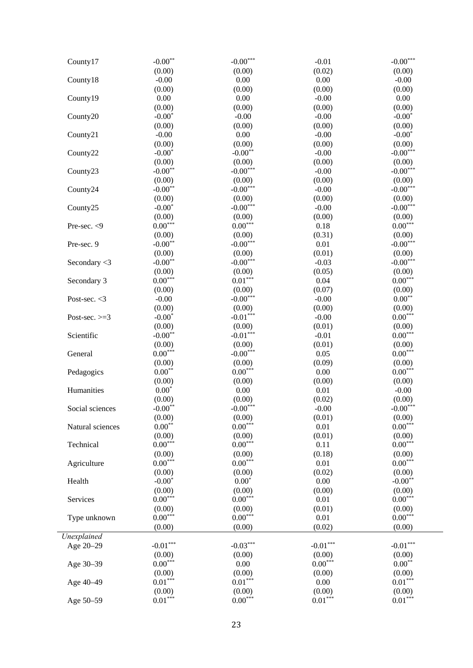| County17         | $-0.00**$              | $\textnormal{-0.00}^{\ast\ast\ast}$ | $-0.01$                    | $\textnormal{-0.00}^{***}$ |
|------------------|------------------------|-------------------------------------|----------------------------|----------------------------|
|                  | (0.00)                 | (0.00)                              | (0.02)                     | (0.00)                     |
| County18         | $-0.00$                | 0.00                                | 0.00                       | $-0.00$                    |
|                  | (0.00)                 | (0.00)                              | (0.00)                     | (0.00)                     |
| County19         | $0.00\,$               | 0.00                                | $-0.00$                    | 0.00                       |
|                  | (0.00)                 | (0.00)                              | (0.00)                     | (0.00)                     |
| County20         | $-0.00*$               | $-0.00$                             | $-0.00$                    | $-0.00*$                   |
|                  | (0.00)                 | (0.00)                              | (0.00)                     | (0.00)                     |
| County21         | $-0.00$                | 0.00                                | $-0.00$                    | $-0.00*$                   |
|                  | (0.00)                 | (0.00)                              | (0.00)                     | (0.00)                     |
| County22         | $-0.00*$               | $-0.00**$                           | $-0.00$                    | $-0.00***$                 |
|                  | (0.00)                 | (0.00)                              | (0.00)                     | (0.00)                     |
| County23         | $-0.00**$              | $-0.00***$                          | $-0.00$                    | $-0.00***$                 |
|                  | (0.00)                 | (0.00)                              | (0.00)                     | (0.00)                     |
| County24         | $-0.00**$              | $-0.00***$                          | $-0.00$                    | $-0.00***$                 |
|                  | (0.00)                 | (0.00)                              | (0.00)                     | (0.00)                     |
| County25         | $-0.00*$               | $-0.00***$                          | $-0.00$                    | $-0.00***$                 |
|                  | (0.00)                 | (0.00)                              | (0.00)                     | (0.00)                     |
| Pre-sec. < 9     | $0.00***$              | $0.00***$                           | 0.18                       | $0.00***$                  |
|                  | (0.00)                 | (0.00)                              | (0.31)                     | (0.00)                     |
| Pre-sec. 9       | $-0.00**$              | $-0.00***$                          | 0.01                       | $-0.00***$                 |
|                  | (0.00)                 | (0.00)                              | (0.01)                     | (0.00)                     |
| Secondary $<$ 3  | $-0.00**$              | $-0.00***$                          | $-0.03$                    | $-0.00***$                 |
|                  | (0.00)                 | (0.00)                              | (0.05)                     | (0.00)                     |
| Secondary 3      | $0.00***$              | $0.01***$                           | 0.04                       | $0.00***$                  |
|                  | (0.00)                 | (0.00)                              | (0.07)                     | (0.00)                     |
| Post-sec. $<$ 3  | $-0.00$                | $-0.00***$                          | $-0.00$                    | $0.00**$                   |
|                  | (0.00)                 | (0.00)<br>$-0.01***$                | (0.00)                     | (0.00)<br>$0.00***$        |
| Post-sec. $>=$ 3 | $-0.00*$               |                                     | $-0.00$                    |                            |
|                  | (0.00)<br>$-0.00**$    | (0.00)<br>$-0.01***$                | (0.01)                     | (0.00)<br>$0.00***$        |
| Scientific       | (0.00)                 | (0.00)                              | $-0.01$                    |                            |
| General          | $0.00***$              | $-0.00***$                          | (0.01)<br>0.05             | (0.00)<br>$0.00***$        |
|                  | (0.00)                 | (0.00)                              | (0.09)                     | (0.00)                     |
| Pedagogics       | $0.00**$               | $0.00***$                           | 0.00                       | $0.00***$                  |
|                  | (0.00)                 | (0.00)                              | (0.00)                     | (0.00)                     |
| Humanities       | $0.00^\ast$            | 0.00                                | 0.01                       | $-0.00$                    |
|                  | (0.00)                 | (0.00)                              | (0.02)                     | (0.00)                     |
| Social sciences  | $-0.00**$              | $-0.00***$                          | $-0.00$                    | $-0.00***$                 |
|                  | (0.00)                 | (0.00)                              | (0.01)                     | (0.00)                     |
| Natural sciences | $0.00**$               | $0.00***$                           | 0.01                       | $0.00***$                  |
|                  | (0.00)                 | (0.00)                              | (0.01)                     | (0.00)                     |
| Technical        | $0.00***$              | $0.00***$                           | 0.11                       | $0.00***$                  |
|                  | (0.00)                 | (0.00)                              | (0.18)                     | (0.00)                     |
| Agriculture      | $0.00***$              | $0.00***$                           | 0.01                       | $0.00^{\ast\ast\ast}$      |
|                  | (0.00)                 | (0.00)                              | (0.02)                     | (0.00)                     |
| Health           | $-0.00*$               | $0.00*$                             | 0.00                       | $-0.00**$                  |
|                  | (0.00)                 | (0.00)                              | (0.00)                     | (0.00)                     |
| Services         | $0.00***$              | $0.00***$                           | 0.01                       | $0.00***$                  |
|                  | (0.00)                 | (0.00)                              | (0.01)                     | (0.00)                     |
| Type unknown     | $0.00***$              | $0.00***$                           | 0.01                       | $0.00^{\ast\ast\ast}$      |
|                  | (0.00)                 | (0.00)                              | (0.02)                     | (0.00)                     |
| Unexplained      |                        |                                     |                            |                            |
| Age 20-29        | $\textbf{-0.01}^{***}$ | $-0.03***$                          | $\textnormal{-}0.01^{***}$ | $\textnormal{-}0.01^{***}$ |
|                  | (0.00)                 | (0.00)                              | (0.00)                     | (0.00)                     |
| Age 30-39        | $0.00***$              | $0.00\,$                            | $0.00***$                  | $0.00**$                   |
|                  | (0.00)                 | (0.00)                              | (0.00)                     | (0.00)                     |
| Age 40-49        | $0.01***$              | $0.01***$                           | 0.00                       | $0.01***$                  |
|                  | (0.00)                 | (0.00)                              | (0.00)                     | (0.00)                     |
| Age 50-59        | $0.01***$              | $0.00***$                           | $0.01***$                  | $0.01***$                  |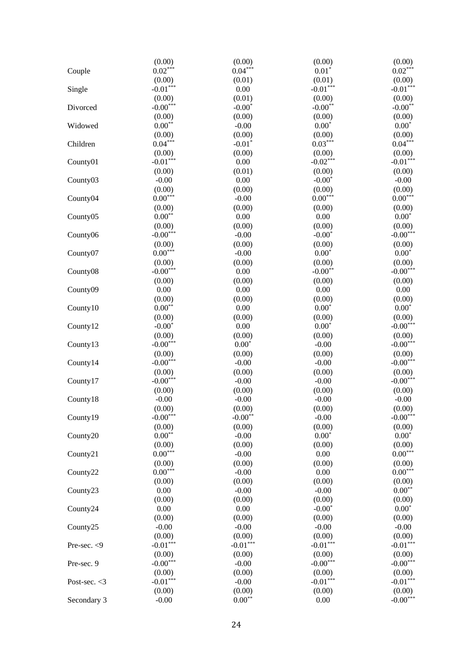|                 | (0.00)                 | (0.00)     | (0.00)     | (0.00)                          |
|-----------------|------------------------|------------|------------|---------------------------------|
| Couple          | $0.02***$              | $0.04***$  | $0.01*$    | $0.02***$                       |
|                 | (0.00)                 | (0.01)     | (0.01)     | (0.00)                          |
| Single          | $-0.01***$             | 0.00       | $-0.01***$ | $-0.01***$                      |
|                 | (0.00)                 | (0.01)     | (0.00)     | (0.00)                          |
| Divorced        | $-0.00***$             | $-0.00*$   | $-0.00**$  | $-0.00**$                       |
|                 | (0.00)                 | (0.00)     | (0.00)     | (0.00)                          |
| Widowed         | $0.00**$               | $-0.00$    | $0.00*$    | $0.00*$                         |
|                 | (0.00)                 | (0.00)     | (0.00)     | (0.00)                          |
| Children        | $0.04***$              | $-0.01*$   | $0.03***$  | $0.04***$                       |
|                 | (0.00)                 | (0.00)     | (0.00)     | (0.00)                          |
| County01        | $-0.01***$             | 0.00       | $-0.02***$ | $-0.01***$                      |
|                 | (0.00)                 | (0.01)     | (0.00)     | (0.00)                          |
| County03        | $-0.00$                | 0.00       | $-0.00*$   | $-0.00$                         |
|                 | (0.00)                 | (0.00)     | (0.00)     | (0.00)                          |
| County04        | $0.00***$              | $-0.00$    | $0.00***$  | $0.00***$                       |
|                 | (0.00)                 | (0.00)     | (0.00)     | (0.00)                          |
| County05        | $0.00**$               | 0.00       | 0.00       | $0.00*$                         |
|                 | (0.00)                 | (0.00)     | (0.00)     | (0.00)                          |
| County06        | $-0.00***$             | $-0.00$    | $-0.00*$   | $-0.00***$                      |
|                 | (0.00)                 | (0.00)     | (0.00)     | (0.00)                          |
| County07        | $0.00***$              | $-0.00$    | $0.00*$    | $0.00*$                         |
|                 | (0.00)                 | (0.00)     | (0.00)     | (0.00)                          |
| County08        | $-0.00***$             | 0.00       | $-0.00**$  | $-0.00***$                      |
|                 | (0.00)                 | (0.00)     | (0.00)     | (0.00)                          |
| County09        | 0.00                   | 0.00       | 0.00       | 0.00                            |
|                 |                        | (0.00)     |            |                                 |
|                 | (0.00)<br>$0.00**$     |            | (0.00)     | (0.00)                          |
| County10        |                        | 0.00       | $0.00*$    | $0.00*$                         |
|                 | (0.00)                 | (0.00)     | (0.00)     | (0.00)                          |
| County12        | $-0.00*$               | 0.00       | $0.00*$    | $-0.00***$                      |
|                 | (0.00)                 | (0.00)     | (0.00)     | (0.00)                          |
| County13        | $-0.00***$             | $0.00*$    | $-0.00$    | $-0.00***$                      |
|                 | (0.00)                 | (0.00)     | (0.00)     | (0.00)                          |
| County14        | $-0.00***$             | $-0.00$    | $-0.00$    | $-0.00***$                      |
|                 | (0.00)                 | (0.00)     | (0.00)     | (0.00)                          |
| County17        | $-0.00***$             | $-0.00$    | $-0.00$    | $-0.00***$                      |
|                 | (0.00)                 | (0.00)     | (0.00)     | (0.00)                          |
| County18        | $-0.00$                | $-0.00$    | $-0.00$    | $-0.00$                         |
|                 | (0.00)                 | (0.00)     | (0.00)     | (0.00)                          |
| County19        | $-0.00***$             | $-0.00**$  | $-0.00$    | $-0.00***$                      |
|                 | (0.00)                 | (0.00)     | (0.00)     | (0.00)                          |
| County20        | $0.00**$               | $-0.00$    | $0.00*$    | $0.00*$                         |
|                 | (0.00)                 | (0.00)     | (0.00)     | (0.00)                          |
| County21        | $0.00***$              | $-0.00$    | 0.00       | $0.00***$                       |
|                 | (0.00)                 | (0.00)     | (0.00)     | (0.00)                          |
| County22        | $0.00^{\ast\ast\ast}$  | $-0.00$    | 0.00       | $0.00***$                       |
|                 | (0.00)                 | (0.00)     | (0.00)     | (0.00)                          |
| County23        | 0.00                   | $-0.00$    | $-0.00$    | $0.00**$                        |
|                 | (0.00)                 | (0.00)     | (0.00)     | (0.00)                          |
| County24        | 0.00                   | 0.00       | $-0.00*$   | $0.00*$                         |
|                 | (0.00)                 | (0.00)     | (0.00)     | (0.00)                          |
| County25        | $-0.00$                | $-0.00$    | $-0.00$    | $-0.00$                         |
|                 | (0.00)                 | (0.00)     | (0.00)     | (0.00)                          |
| Pre-sec. <9     | $-0.01***$             | $-0.01***$ | $-0.01***$ | $-0.01***$                      |
|                 | (0.00)                 | (0.00)     | (0.00)     | (0.00)                          |
| Pre-sec. 9      | $-0.00$ <sup>***</sup> | $-0.00$    | $-0.00***$ | $\textbf{-0.00}^{\ast\ast\ast}$ |
|                 | (0.00)                 | (0.00)     | (0.00)     | (0.00)                          |
| Post-sec. $<$ 3 | $-0.01***$             | $-0.00$    | $-0.01***$ | $\textnormal{-}0.01^{***}$      |
|                 | (0.00)                 | (0.00)     | (0.00)     | (0.00)                          |
| Secondary 3     | $-0.00$                | $0.00**$   | 0.00       | $-0.00***$                      |
|                 |                        |            |            |                                 |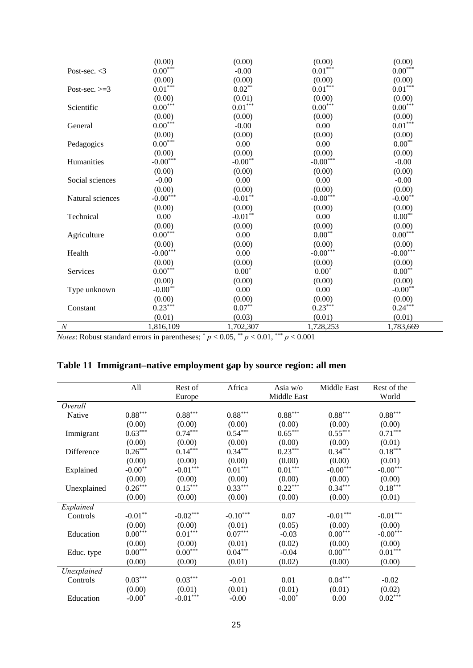|                  | (0.00)                | (0.00)                      | (0.00)                     | (0.00)                |
|------------------|-----------------------|-----------------------------|----------------------------|-----------------------|
| Post-sec. $<$ 3  | $0.00***$             | $-0.00$                     | $0.01***$                  | $0.00***$             |
|                  | (0.00)                | (0.00)                      | (0.00)                     | (0.00)                |
| Post-sec. $>=3$  | $0.01***$             | $0.02***$                   | $0.01***$                  | $0.01***$             |
|                  | (0.00)                | (0.01)                      | (0.00)                     | (0.00)                |
| Scientific       | $0.00^{\ast\ast\ast}$ | $0.01***$                   | $0.00***$                  | $0.00^{\ast\ast\ast}$ |
|                  | (0.00)                | (0.00)                      | (0.00)                     | (0.00)                |
| General          | $0.00^{\ast\ast\ast}$ | $-0.00$                     | 0.00                       | $0.01***$             |
|                  | (0.00)                | (0.00)                      | (0.00)                     | (0.00)                |
| Pedagogics       | $0.00^{\ast\ast\ast}$ | 0.00                        | 0.00                       | $0.00^{\ast\ast}$     |
|                  | (0.00)                | (0.00)                      | (0.00)                     | (0.00)                |
| Humanities       | $-0.00***$            | $-0.00^{\ast\ast}$          | $-0.00***$                 | $-0.00$               |
|                  | (0.00)                | (0.00)                      | (0.00)                     | (0.00)                |
| Social sciences  | $-0.00$               | 0.00                        | 0.00                       | $-0.00$               |
|                  | (0.00)                | (0.00)                      | (0.00)                     | (0.00)                |
| Natural sciences | $-0.00***$            | $\textbf{-0.01}^{\ast\ast}$ | $\textnormal{-0.00}^{***}$ | $-0.00**$             |
|                  | (0.00)                | (0.00)                      | (0.00)                     | (0.00)                |
| Technical        | 0.00                  | $-0.01***$                  | 0.00                       | $0.00**$              |
|                  | (0.00)                | (0.00)                      | (0.00)                     | (0.00)                |
| Agriculture      | $0.00^{\ast\ast\ast}$ | 0.00                        | $0.00^{\ast\ast}$          | $0.00***$             |
|                  | (0.00)                | (0.00)                      | (0.00)                     | (0.00)                |
| Health           | $-0.00***$            | 0.00                        | $\textnormal{-0.00}^{***}$ | $-0.00***$            |
|                  | (0.00)                | (0.00)                      | (0.00)                     | (0.00)                |
| Services         | $0.00^{\ast\ast\ast}$ | $0.00*$                     | $0.00*$                    | $0.00**$              |
|                  | (0.00)                | (0.00)                      | (0.00)                     | (0.00)                |
| Type unknown     | $-0.00**$             | 0.00                        | 0.00                       | $-0.00**$             |
|                  | (0.00)                | (0.00)                      | (0.00)                     | (0.00)                |
| Constant         | $0.23***$             | $0.07**$                    | $0.23***$                  | $0.24***$             |
|                  | (0.01)                | (0.03)                      | (0.01)                     | (0.01)                |
| $\overline{N}$   | 1,816,109             | 1,702,307                   | 1,728,253                  | 1,783,669             |

L.

*Notes*: Robust standard errors in parentheses;  $p < 0.05$ ,  $\binom{p}{k} < 0.01$ ,  $\binom{p}{k} < 0.001$ 

# **Table 11 Immigrant–native employment gap by source region: all men**

|             | All                   | Rest of                         | Africa                | Asia w/o              | Middle East           | Rest of the           |
|-------------|-----------------------|---------------------------------|-----------------------|-----------------------|-----------------------|-----------------------|
|             |                       | Europe                          |                       | Middle East           |                       | World                 |
| Overall     |                       |                                 |                       |                       |                       |                       |
| Native      | $0.88^{\ast\ast\ast}$ | $0.88^{\ast\ast\ast}$           | $0.88^{\ast\ast\ast}$ | $0.88^{\ast\ast\ast}$ | $0.88^{\ast\ast\ast}$ | $0.88^{\ast\ast\ast}$ |
|             | (0.00)                | (0.00)                          | (0.00)                | (0.00)                | (0.00)                | (0.00)                |
| Immigrant   | $0.63***$             | $0.74***$                       | $0.54***$             | $0.65***$             | $0.55***$             | $0.71***$             |
|             | (0.00)                | (0.00)                          | (0.00)                | (0.00)                | (0.00)                | (0.01)                |
| Difference  | $0.26***$             | $0.14***$                       | $0.34***$             | $0.23***$             | $0.34***$             | $0.18***$             |
|             | (0.00)                | (0.00)                          | (0.00)                | (0.00)                | (0.00)                | (0.01)                |
| Explained   | $-0.00**$             | $-0.01***$                      | $0.01***$             | $0.01***$             | $-0.00***$            | $-0.00***$            |
|             | (0.00)                | (0.00)                          | (0.00)                | (0.00)                | (0.00)                | (0.00)                |
| Unexplained | $0.26***$             | $0.15***$                       | $0.33***$             | $0.22***$             | $0.34***$             | $0.18***$             |
|             | (0.00)                | (0.00)                          | (0.00)                | (0.00)                | (0.00)                | (0.01)                |
| Explained   |                       |                                 |                       |                       |                       |                       |
| Controls    | $-0.01^{\ast\ast}$    | $-0.02***$                      | $-0.10***$            | 0.07                  | $-0.01***$            | $-0.01***$            |
|             | (0.00)                | (0.00)                          | (0.01)                | (0.05)                | (0.00)                | (0.00)                |
| Education   | $0.00***$             | $0.01^{\ast\ast\ast}$           | $0.07***$             | $-0.03$               | $0.00^{\ast\ast\ast}$ | $-0.00***$            |
|             | (0.00)                | (0.00)                          | (0.01)                | (0.02)                | (0.00)                | (0.00)                |
| Educ. type  | $0.00^{\ast\ast\ast}$ | $0.00^{\ast\ast\ast}$           | $0.04***$             | $-0.04$               | $0.00^{\ast\ast\ast}$ | $0.01^{\ast\ast\ast}$ |
|             | (0.00)                | (0.00)                          | (0.01)                | (0.02)                | (0.00)                | (0.00)                |
| Unexplained |                       |                                 |                       |                       |                       |                       |
| Controls    | $0.03***$             | $0.03***$                       | $-0.01$               | 0.01                  | $0.04***$             | $-0.02$               |
|             | (0.00)                | (0.01)                          | (0.01)                | (0.01)                | (0.01)                | (0.02)                |
| Education   | $-0.00*$              | $\textbf{-0.01}^{\ast\ast\ast}$ | $-0.00$               | $-0.00*$              | 0.00                  | $0.02***$             |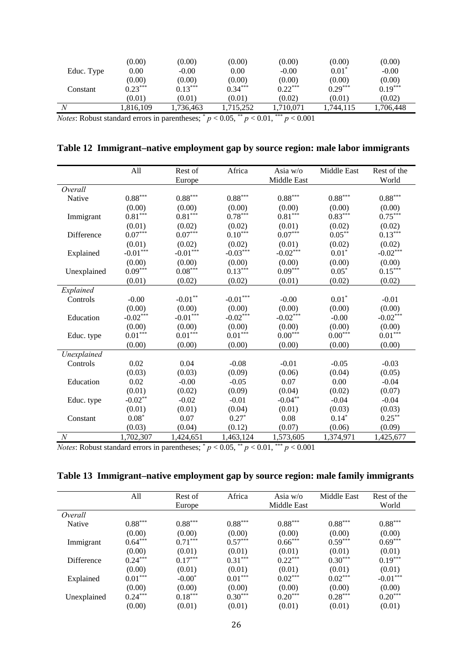| Educ. Type                                                      | (0.00)<br>0.00      | (0.00)<br>$-0.00$   | (0.00)<br>0.00                                           | (0.00)<br>$-0.00$   | (0.00)<br>$0.01^*$  | (0.00)<br>$-0.00$   |
|-----------------------------------------------------------------|---------------------|---------------------|----------------------------------------------------------|---------------------|---------------------|---------------------|
| Constant                                                        | (0.00)<br>$0.23***$ | (0.00)<br>$0.13***$ | (0.00)<br>$0.34***$                                      | (0.00)<br>$0.22***$ | (0.00)<br>$0.29***$ | (0.00)<br>$0.19***$ |
|                                                                 | (0.01)              | (0.01)              | (0.01)                                                   | (0.02)              | (0.01)              | (0.02)              |
|                                                                 | 1.816.109           | .736.463            | 1.715.252                                                | 1.710.071           | 1.744.115           | 1.706.448           |
| $\mathbf{M}$ and $\mathbf{M}$ and $\mathbf{M}$ and $\mathbf{M}$ |                     |                     | $\Omega$ $\Omega$ $\sigma$ $**$<br>$\Lambda$ $\Lambda$ 1 | ***<br>0.001        |                     |                     |

*Notes*: Robust standard errors in parentheses;  $p < 0.05$ ,  $p < 0.01$ ,  $p < 0.001$ 

|  |  |  |  |  |  |  |  | Table 12 Immigrant–native employment gap by source region: male labor immigrants |
|--|--|--|--|--|--|--|--|----------------------------------------------------------------------------------|
|--|--|--|--|--|--|--|--|----------------------------------------------------------------------------------|

|             | All                   | Rest of                | Africa                     | Asia $w/o$            | Middle East | Rest of the                     |
|-------------|-----------------------|------------------------|----------------------------|-----------------------|-------------|---------------------------------|
|             |                       | Europe                 |                            | Middle East           |             | World                           |
| Overall     |                       |                        |                            |                       |             |                                 |
| Native      | $0.88***$             | $0.88***$              | $0.88***$                  | $0.88***$             | $0.88***$   | $0.88***$                       |
|             | (0.00)                | (0.00)                 | (0.00)                     | (0.00)                | (0.00)      | (0.00)                          |
| Immigrant   | $0.81^{\ast\ast\ast}$ | $0.81***$              | $0.78***$                  | $0.81^{\ast\ast\ast}$ | $0.83***$   | $0.75***$                       |
|             | (0.01)                | (0.02)                 | (0.02)                     | (0.01)                | (0.02)      | (0.02)                          |
| Difference  | $0.07***$             | $0.07^{\ast\ast\ast}$  | $0.10***$                  | $0.07^{\ast\ast\ast}$ | $0.05***$   | $0.13***$                       |
|             | (0.01)                | (0.02)                 | (0.02)                     | (0.01)                | (0.02)      | (0.02)                          |
| Explained   | $-0.01***$            | $\textbf{-0.01}^{***}$ | $-0.03***$                 | $-0.02***$            | $0.01*$     | $-0.02***$                      |
|             | (0.00)                | (0.00)                 | (0.00)                     | (0.00)                | (0.00)      | (0.00)                          |
| Unexplained | $0.09***$             | $0.08^{\ast\ast\ast}$  | $0.13***$                  | $0.09^{\ast\ast\ast}$ | $0.05*$     | $0.15***$                       |
|             | (0.01)                | (0.02)                 | (0.02)                     | (0.01)                | (0.02)      | (0.02)                          |
| Explained   |                       |                        |                            |                       |             |                                 |
| Controls    | $-0.00$               | $-0.01**$              | $\textnormal{-}0.01^{***}$ | $-0.00$               | $0.01*$     | $-0.01$                         |
|             | (0.00)                | (0.00)                 | (0.00)                     | (0.00)                | (0.00)      | (0.00)                          |
| Education   | $-0.02***$            | $-0.01***$             | $-0.02***$                 | $-0.02***$            | $-0.00$     | $\textbf{-0.02}^{\ast\ast\ast}$ |
|             | (0.00)                | (0.00)                 | (0.00)                     | (0.00)                | (0.00)      | (0.00)                          |
| Educ. type  | $0.01***$             | $0.01***$              | $0.01***$                  | $0.00***$             | $0.00***$   | $0.01***$                       |
|             | (0.00)                | (0.00)                 | (0.00)                     | (0.00)                | (0.00)      | (0.00)                          |
| Unexplained |                       |                        |                            |                       |             |                                 |
| Controls    | 0.02                  | 0.04                   | $-0.08$                    | $-0.01$               | $-0.05$     | $-0.03$                         |
|             | (0.03)                | (0.03)                 | (0.09)                     | (0.06)                | (0.04)      | (0.05)                          |
| Education   | 0.02                  | $-0.00$                | $-0.05$                    | 0.07                  | 0.00        | $-0.04$                         |
|             | (0.01)                | (0.02)                 | (0.09)                     | (0.04)                | (0.02)      | (0.07)                          |
| Educ. type  | $-0.02**$             | $-0.02$                | $-0.01$                    | $-0.04***$            | $-0.04$     | $-0.04$                         |
|             | (0.01)                | (0.01)                 | (0.04)                     | (0.01)                | (0.03)      | (0.03)                          |
| Constant    | $0.08*$               | 0.07                   | $0.27*$                    | 0.08                  | $0.14*$     | $0.25***$                       |
|             | (0.03)                | (0.04)                 | (0.12)                     | (0.07)                | (0.06)      | (0.09)                          |
| $\cal N$    | 1,702,307             | 1,424,651              | 1,463,124                  | 1,573,605             | 1,374,971   | 1,425,677                       |

*Notes*: Robust standard errors in parentheses;  $p < 0.05$ ,  $\binom{p}{k} < 0.01$ ,  $\binom{p}{k} < 0.001$ 

### **Table 13 Immigrant–native employment gap by source region: male family immigrants**

|             | All       | Rest of   | Africa    | Asia $w/o$  | <b>Middle East</b> | Rest of the |
|-------------|-----------|-----------|-----------|-------------|--------------------|-------------|
|             |           | Europe    |           | Middle East |                    | World       |
| Overall     |           |           |           |             |                    |             |
| Native      | $0.88***$ | $0.88***$ | $0.88***$ | $0.88***$   | $0.88***$          | $0.88***$   |
|             | (0.00)    | (0.00)    | (0.00)    | (0.00)      | (0.00)             | (0.00)      |
| Immigrant   | $0.64***$ | $0.71***$ | $0.57***$ | $0.66***$   | $0.59***$          | $0.69***$   |
|             | (0.00)    | (0.01)    | (0.01)    | (0.01)      | (0.01)             | (0.01)      |
| Difference  | $0.24***$ | $0.17***$ | $0.31***$ | $0.22***$   | $0.30***$          | $0.19***$   |
|             | (0.00)    | (0.01)    | (0.01)    | (0.01)      | (0.01)             | (0.01)      |
| Explained   | $0.01***$ | $-0.00^*$ | $0.01***$ | $0.02***$   | $0.02***$          | $-0.01***$  |
|             | (0.00)    | (0.00)    | (0.00)    | (0.00)      | (0.00)             | (0.00)      |
| Unexplained | $0.24***$ | $0.18***$ | $0.30***$ | $0.20***$   | $0.28***$          | $0.20***$   |
|             | (0.00)    | (0.01)    | (0.01)    | (0.01)      | (0.01)             | (0.01)      |